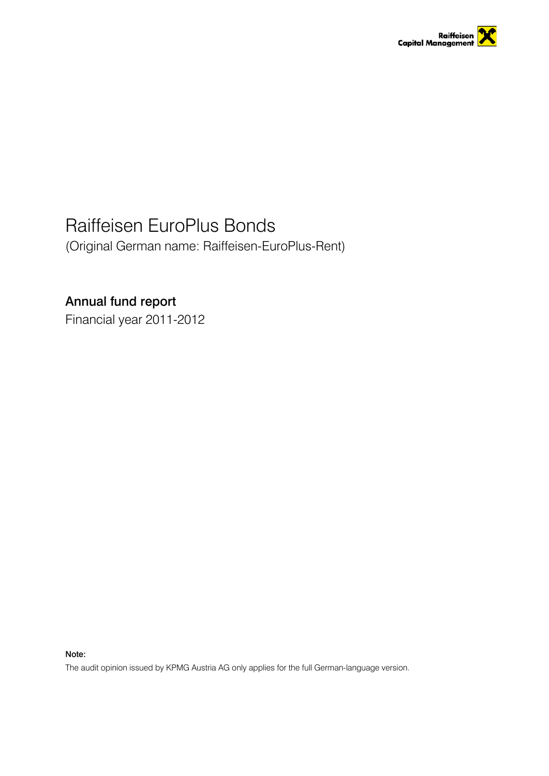

# Raiffeisen EuroPlus Bonds

(Original German name: Raiffeisen-EuroPlus-Rent)

## Annual fund report

Financial year 2011-2012

Note:

The audit opinion issued by KPMG Austria AG only applies for the full German-language version.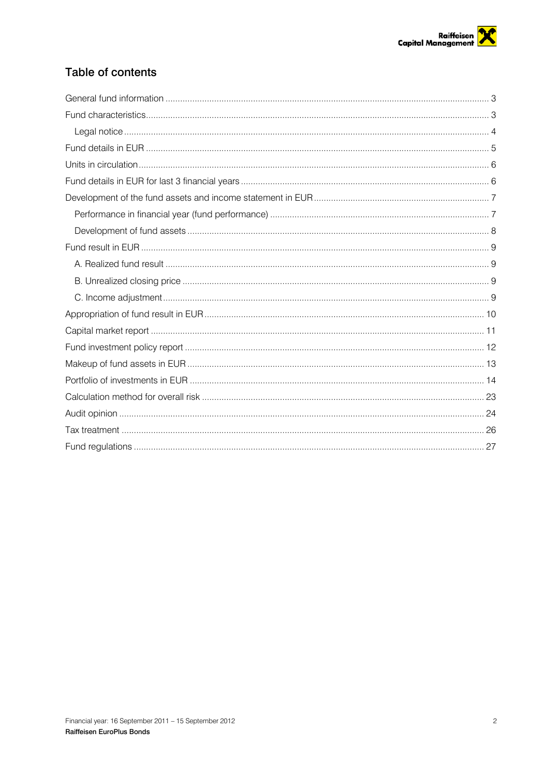## Table of contents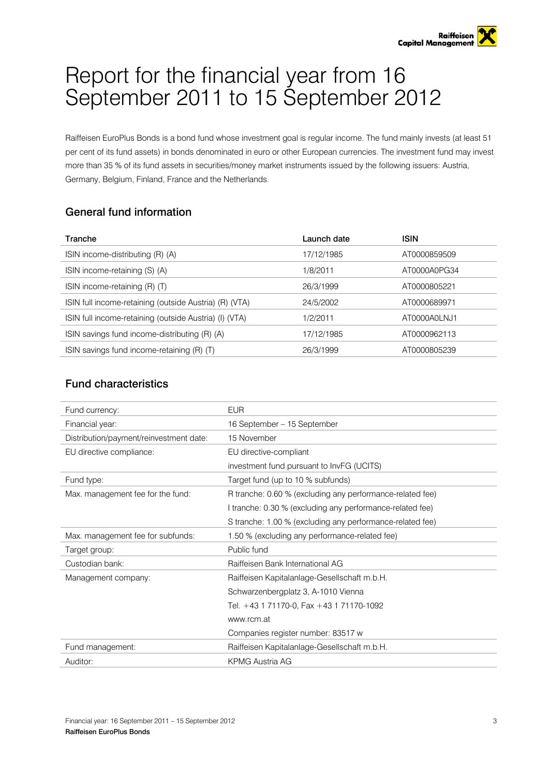# Report for the financial year from 16 September 2011 to 15 September 2012

Raiffeisen EuroPlus Bonds is a bond fund whose investment goal is regular income. The fund mainly invests (at least 51 per cent of its fund assets) in bonds denominated in euro or other European currencies. The investment fund may invest more than 35 % of its fund assets in securities/money market instruments issued by the following issuers: Austria, Germany, Belgium, Finland, France and the Netherlands.

## <span id="page-2-0"></span>General fund information

| Tranche                                                | Launch date | <b>ISIN</b>  |
|--------------------------------------------------------|-------------|--------------|
| ISIN income-distributing (R) (A)                       | 17/12/1985  | AT0000859509 |
| ISIN income-retaining (S) (A)                          | 1/8/2011    | AT0000A0PG34 |
| ISIN income-retaining (R) (T)                          | 26/3/1999   | AT0000805221 |
| ISIN full income-retaining (outside Austria) (R) (VTA) | 24/5/2002   | AT0000689971 |
| ISIN full income-retaining (outside Austria) (I) (VTA) | 1/2/2011    | AT0000A0LNJ1 |
| ISIN savings fund income-distributing (R) (A)          | 17/12/1985  | AT0000962113 |
| ISIN savings fund income-retaining (R) (T)             | 26/3/1999   | AT0000805239 |

## <span id="page-2-1"></span>Fund characteristics

| Fund currency:                          | <b>EUR</b>                                                |
|-----------------------------------------|-----------------------------------------------------------|
| Financial year:                         | 16 September - 15 September                               |
| Distribution/payment/reinvestment date: | 15 November                                               |
| EU directive compliance:                | EU directive-compliant                                    |
|                                         | investment fund pursuant to InvFG (UCITS)                 |
| Fund type:                              | Target fund (up to 10 % subfunds)                         |
| Max. management fee for the fund:       | R tranche: 0.60 % (excluding any performance-related fee) |
|                                         | I tranche: 0.30 % (excluding any performance-related fee) |
|                                         | S tranche: 1.00 % (excluding any performance-related fee) |
| Max. management fee for subfunds:       | 1.50 % (excluding any performance-related fee)            |
| Target group:                           | Public fund                                               |
| Custodian bank:                         | Raiffeisen Bank International AG                          |
| Management company:                     | Raiffeisen Kapitalanlage-Gesellschaft m.b.H.              |
|                                         | Schwarzenbergplatz 3, A-1010 Vienna                       |
|                                         | Tel. +43 1 71170-0, Fax +43 1 71170-1092                  |
|                                         | www.rcm.at                                                |
|                                         | Companies register number: 83517 w                        |
| Fund management:                        | Raiffeisen Kapitalanlage-Gesellschaft m.b.H.              |
| Auditor:                                | <b>KPMG Austria AG</b>                                    |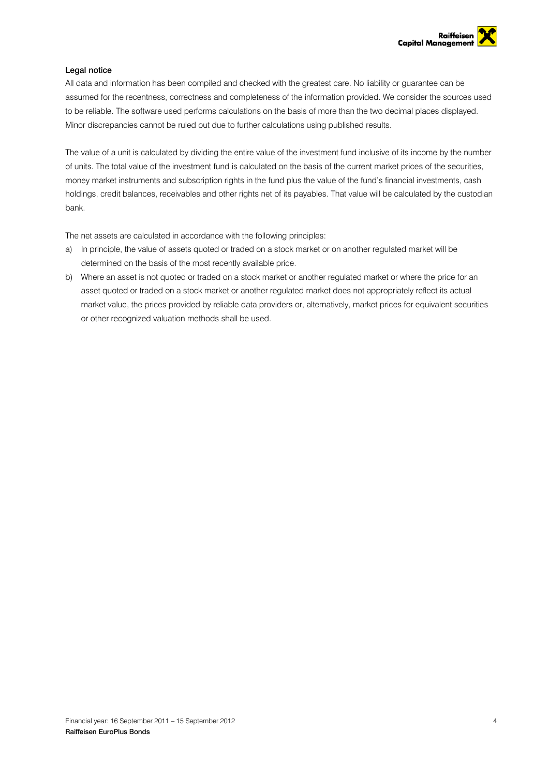## <span id="page-3-0"></span>Legal notice

All data and information has been compiled and checked with the greatest care. No liability or guarantee can be assumed for the recentness, correctness and completeness of the information provided. We consider the sources used to be reliable. The software used performs calculations on the basis of more than the two decimal places displayed. Minor discrepancies cannot be ruled out due to further calculations using published results.

The value of a unit is calculated by dividing the entire value of the investment fund inclusive of its income by the number of units. The total value of the investment fund is calculated on the basis of the current market prices of the securities, money market instruments and subscription rights in the fund plus the value of the fund's financial investments, cash holdings, credit balances, receivables and other rights net of its payables. That value will be calculated by the custodian bank.

The net assets are calculated in accordance with the following principles:

- a) In principle, the value of assets quoted or traded on a stock market or on another regulated market will be determined on the basis of the most recently available price.
- b) Where an asset is not quoted or traded on a stock market or another regulated market or where the price for an asset quoted or traded on a stock market or another regulated market does not appropriately reflect its actual market value, the prices provided by reliable data providers or, alternatively, market prices for equivalent securities or other recognized valuation methods shall be used.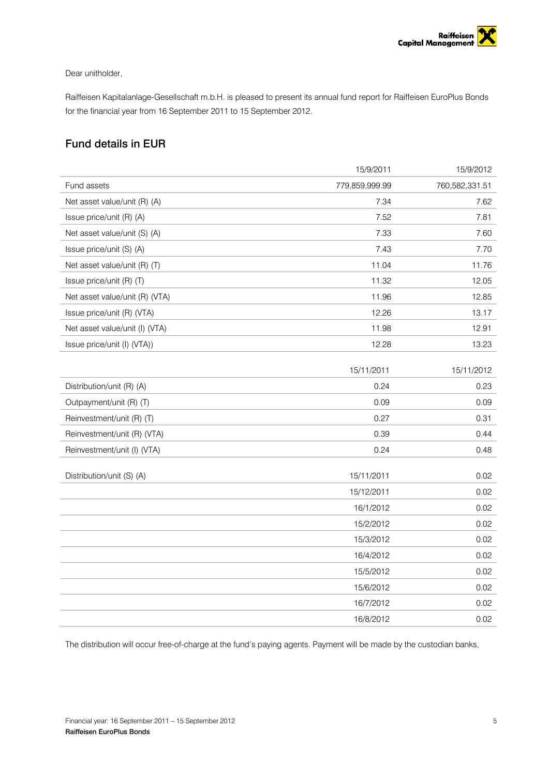

## Dear unitholder,

Raiffeisen Kapitalanlage-Gesellschaft m.b.H. is pleased to present its annual fund report for Raiffeisen EuroPlus Bonds for the financial year from 16 September 2011 to 15 September 2012.

## <span id="page-4-0"></span>Fund details in EUR

|                                | 15/9/2011      | 15/9/2012      |
|--------------------------------|----------------|----------------|
| Fund assets                    | 779,859,999.99 | 760,582,331.51 |
| Net asset value/unit (R) (A)   | 7.34           | 7.62           |
| Issue price/unit (R) (A)       | 7.52           | 7.81           |
| Net asset value/unit (S) (A)   | 7.33           | 7.60           |
| Issue price/unit (S) (A)       | 7.43           | 7.70           |
| Net asset value/unit (R) (T)   | 11.04          | 11.76          |
| Issue price/unit (R) (T)       | 11.32          | 12.05          |
| Net asset value/unit (R) (VTA) | 11.96          | 12.85          |
| Issue price/unit (R) (VTA)     | 12.26          | 13.17          |
| Net asset value/unit (I) (VTA) | 11.98          | 12.91          |
| Issue price/unit (I) (VTA))    | 12.28          | 13.23          |
|                                |                |                |
|                                | 15/11/2011     | 15/11/2012     |
| Distribution/unit (R) (A)      | 0.24           | 0.23           |
| Outpayment/unit (R) (T)        | 0.09           | 0.09           |
| Reinvestment/unit (R) (T)      | 0.27           | 0.31           |
| Reinvestment/unit (R) (VTA)    | 0.39           | 0.44           |
| Reinvestment/unit (I) (VTA)    | 0.24           | 0.48           |
| Distribution/unit (S) (A)      | 15/11/2011     | 0.02           |
|                                | 15/12/2011     | 0.02           |
|                                | 16/1/2012      | 0.02           |
|                                | 15/2/2012      | 0.02           |
|                                | 15/3/2012      | 0.02           |
|                                | 16/4/2012      | 0.02           |
|                                | 15/5/2012      | 0.02           |
|                                | 15/6/2012      | 0.02           |
|                                | 16/7/2012      | 0.02           |
|                                | 16/8/2012      | 0.02           |

The distribution will occur free-of-charge at the fund's paying agents. Payment will be made by the custodian banks,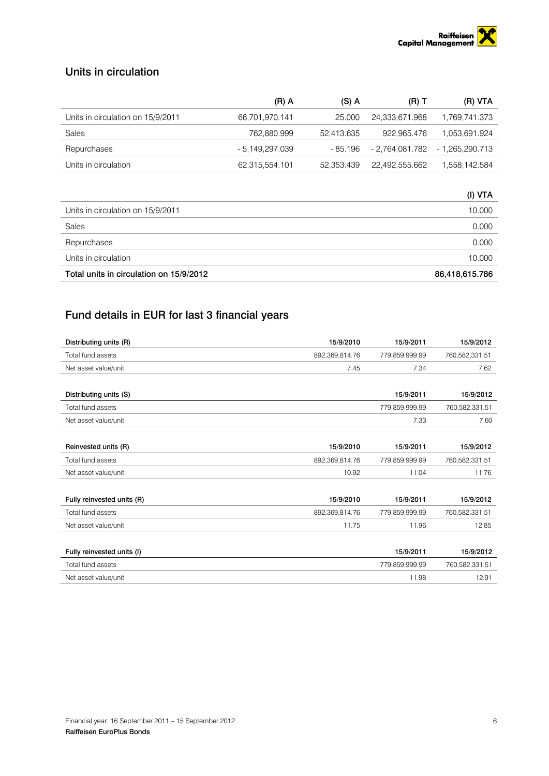

## <span id="page-5-0"></span>Units in circulation

|                                   | (R) A           | $(S)$ A    | $(R)$ T         | (R) VTA         |
|-----------------------------------|-----------------|------------|-----------------|-----------------|
| Units in circulation on 15/9/2011 | 66,701,970.141  | 25.000     | 24.333.671.968  | 1,769,741.373   |
| Sales                             | 762.880.999     | 52.413.635 | 922.965.476     | 1.053.691.924   |
| Repurchases                       | - 5.149.297.039 | - 85.196   | - 2,764,081.782 | - 1,265,290.713 |
| Units in circulation              | 62,315,554.101  | 52.353.439 | 22,492,555.662  | 1,558,142.584   |

| Total units in circulation on 15/9/2012 | 86,418,615.786 |
|-----------------------------------------|----------------|
| Units in circulation                    | 10.000         |
| Repurchases                             | 0.000          |
| Sales                                   | 0.000          |
| Units in circulation on 15/9/2011       | 10.000         |
|                                         | (I) VTA        |

## <span id="page-5-1"></span>Fund details in EUR for last 3 financial years

| Distributing units (R)     | 15/9/2010      | 15/9/2011      | 15/9/2012      |
|----------------------------|----------------|----------------|----------------|
| Total fund assets          | 892,369,814.76 | 779,859,999.99 | 760,582,331.51 |
| Net asset value/unit       | 7.45           | 7.34           | 7.62           |
|                            |                |                |                |
| Distributing units (S)     |                | 15/9/2011      | 15/9/2012      |
| Total fund assets          |                | 779,859,999.99 | 760,582,331.51 |
| Net asset value/unit       |                | 7.33           | 7.60           |
|                            |                |                |                |
| Reinvested units (R)       | 15/9/2010      | 15/9/2011      | 15/9/2012      |
| Total fund assets          | 892,369,814.76 | 779.859.999.99 | 760,582,331.51 |
| Net asset value/unit       | 10.92          | 11.04          | 11.76          |
|                            |                |                |                |
| Fully reinvested units (R) | 15/9/2010      | 15/9/2011      | 15/9/2012      |
| Total fund assets          | 892,369,814.76 | 779,859,999.99 | 760,582,331.51 |
| Net asset value/unit       | 11.75          | 11.96          | 12.85          |
|                            |                |                |                |
| Fully reinvested units (I) |                | 15/9/2011      | 15/9/2012      |
| Total fund assets          |                | 779,859,999.99 | 760,582,331.51 |
| Net asset value/unit       |                | 11.98          | 12.91          |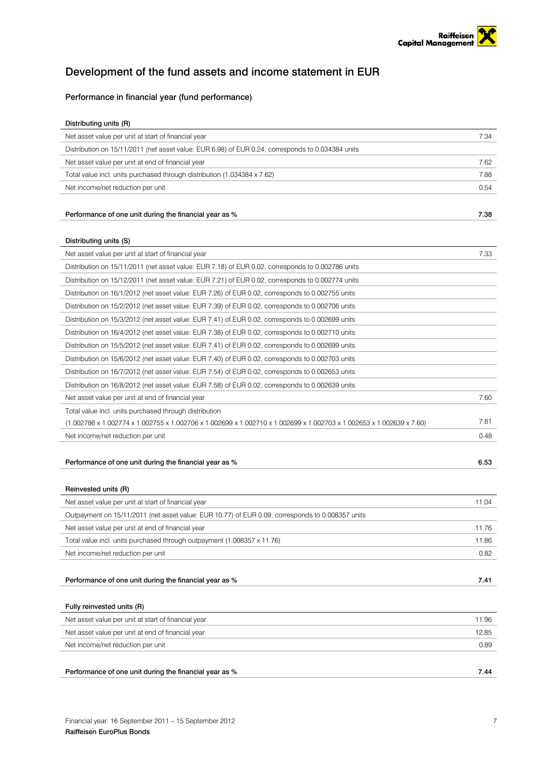## <span id="page-6-0"></span>Development of the fund assets and income statement in EUR

## <span id="page-6-1"></span>Performance in financial year (fund performance)

| Distributing units (R)                                                                                               |       |
|----------------------------------------------------------------------------------------------------------------------|-------|
| Net asset value per unit at start of financial year                                                                  | 7.34  |
| Distribution on 15/11/2011 (net asset value: EUR 6.98) of EUR 0.24, corresponds to 0.034384 units                    |       |
| Net asset value per unit at end of financial year                                                                    | 7.62  |
| Total value incl. units purchased through distribution (1.034384 x 7.62)                                             | 7.88  |
| Net income/net reduction per unit                                                                                    | 0.54  |
|                                                                                                                      |       |
| Performance of one unit during the financial year as %                                                               | 7.38  |
|                                                                                                                      |       |
| Distributing units (S)                                                                                               |       |
| Net asset value per unit at start of financial year                                                                  | 7.33  |
| Distribution on 15/11/2011 (net asset value: EUR 7.18) of EUR 0.02, corresponds to 0.002786 units                    |       |
| Distribution on 15/12/2011 (net asset value: EUR 7.21) of EUR 0.02, corresponds to 0.002774 units                    |       |
| Distribution on 16/1/2012 (net asset value: EUR 7.26) of EUR 0.02, corresponds to 0.002755 units                     |       |
| Distribution on 15/2/2012 (net asset value: EUR 7.39) of EUR 0.02, corresponds to 0.002706 units                     |       |
| Distribution on 15/3/2012 (net asset value: EUR 7.41) of EUR 0.02, corresponds to 0.002699 units                     |       |
| Distribution on 16/4/2012 (net asset value: EUR 7.38) of EUR 0.02, corresponds to 0.002710 units                     |       |
| Distribution on 15/5/2012 (net asset value: EUR 7.41) of EUR 0.02, corresponds to 0.002699 units                     |       |
| Distribution on 15/6/2012 (net asset value: EUR 7.40) of EUR 0.02, corresponds to 0.002703 units                     |       |
| Distribution on 16/7/2012 (net asset value: EUR 7.54) of EUR 0.02, corresponds to 0.002653 units                     |       |
| Distribution on 16/8/2012 (net asset value: EUR 7.58) of EUR 0.02, corresponds to 0.002639 units                     |       |
| Net asset value per unit at end of financial year                                                                    | 7.60  |
| Total value incl. units purchased through distribution                                                               |       |
| (1.002786 x 1.002774 x 1.002755 x 1.002706 x 1.002699 x 1.002710 x 1.002699 x 1.002703 x 1.002653 x 1.002639 x 7.60) | 7.81  |
| Net income/net reduction per unit                                                                                    | 0.48  |
|                                                                                                                      |       |
| Performance of one unit during the financial year as %                                                               | 6.53  |
|                                                                                                                      |       |
| Reinvested units (R)                                                                                                 |       |
| Net asset value per unit at start of financial year                                                                  | 11.04 |
| Outpayment on 15/11/2011 (net asset value: EUR 10.77) of EUR 0.09, corresponds to 0.008357 units                     |       |
| Net asset value per unit at end of financial year                                                                    | 11.76 |
| Total value incl. units purchased through outpayment (1.008357 x 11.76)                                              | 11.86 |
| Net income/net reduction per unit                                                                                    | 0.82  |
|                                                                                                                      |       |
| Performance of one unit during the financial year as %                                                               | 7.41  |
|                                                                                                                      |       |
| Fully reinvested units (R)                                                                                           |       |
| Net asset value per unit at start of financial year                                                                  | 11.96 |
| Net asset value per unit at end of financial year                                                                    | 12.85 |
| Net income/net reduction per unit                                                                                    | 0.89  |
|                                                                                                                      |       |
| Performance of one unit during the financial year as %                                                               | 7.44  |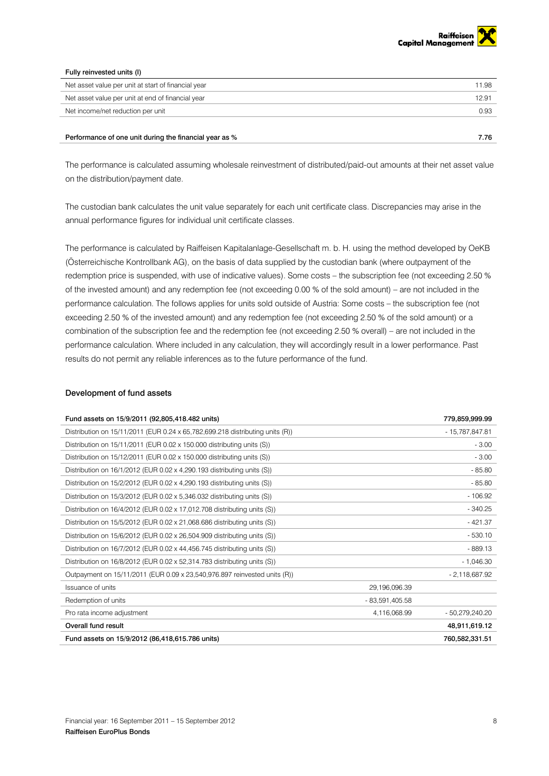

## Fully reinvested units (I)

| Net asset value per unit at start of financial year | 11.98 |
|-----------------------------------------------------|-------|
| Net asset value per unit at end of financial year   | 12.91 |
| Net income/net reduction per unit                   | 0.93  |
|                                                     |       |

### Performance of one unit during the financial year as % 7.76

The performance is calculated assuming wholesale reinvestment of distributed/paid-out amounts at their net asset value on the distribution/payment date.

The custodian bank calculates the unit value separately for each unit certificate class. Discrepancies may arise in the annual performance figures for individual unit certificate classes.

The performance is calculated by Raiffeisen Kapitalanlage-Gesellschaft m. b. H. using the method developed by OeKB (Österreichische Kontrollbank AG), on the basis of data supplied by the custodian bank (where outpayment of the redemption price is suspended, with use of indicative values). Some costs – the subscription fee (not exceeding 2.50 % of the invested amount) and any redemption fee (not exceeding 0.00 % of the sold amount) – are not included in the performance calculation. The follows applies for units sold outside of Austria: Some costs – the subscription fee (not exceeding 2.50 % of the invested amount) and any redemption fee (not exceeding 2.50 % of the sold amount) or a combination of the subscription fee and the redemption fee (not exceeding 2.50 % overall) – are not included in the performance calculation. Where included in any calculation, they will accordingly result in a lower performance. Past results do not permit any reliable inferences as to the future performance of the fund.

### <span id="page-7-0"></span>Development of fund assets

| Fund assets on 15/9/2011 (92,805,418.482 units)                                 |                  | 779,859,999.99  |
|---------------------------------------------------------------------------------|------------------|-----------------|
| Distribution on $15/11/2011$ (EUR 0.24 x 65,782,699.218 distributing units (R)) |                  | - 15,787,847.81 |
| Distribution on 15/11/2011 (EUR 0.02 x 150.000 distributing units (S))          |                  | $-3.00$         |
| Distribution on 15/12/2011 (EUR 0.02 x 150.000 distributing units (S))          |                  | $-3.00$         |
| Distribution on 16/1/2012 (EUR 0.02 x 4,290.193 distributing units (S))         |                  | $-85.80$        |
| Distribution on 15/2/2012 (EUR 0.02 x 4,290.193 distributing units (S))         |                  | $-85.80$        |
| Distribution on 15/3/2012 (EUR 0.02 x 5,346.032 distributing units (S))         |                  | $-106.92$       |
| Distribution on $16/4/2012$ (EUR 0.02 x 17,012.708 distributing units (S))      |                  | $-340.25$       |
| Distribution on $15/5/2012$ (EUR 0.02 x 21,068.686 distributing units (S))      |                  | $-421.37$       |
| Distribution on 15/6/2012 (EUR 0.02 x 26,504.909 distributing units (S))        |                  | $-530.10$       |
| Distribution on $16/7/2012$ (EUR 0.02 x 44,456.745 distributing units (S))      |                  | $-889.13$       |
| Distribution on $16/8/2012$ (EUR 0.02 x 52,314.783 distributing units (S))      |                  | $-1,046.30$     |
| Outpayment on 15/11/2011 (EUR 0.09 x 23,540,976.897 reinvested units (R))       |                  | $-2,118,687.92$ |
| Issuance of units                                                               | 29,196,096.39    |                 |
| Redemption of units                                                             | $-83,591,405.58$ |                 |
| Pro rata income adjustment                                                      | 4,116,068.99     | - 50,279,240.20 |
| Overall fund result                                                             |                  | 48,911,619.12   |
| Fund assets on 15/9/2012 (86,418,615.786 units)                                 |                  | 760,582,331.51  |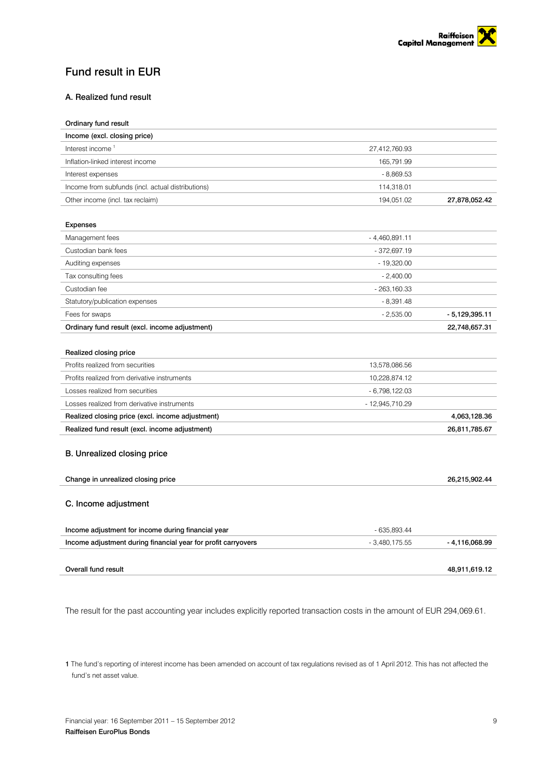

## <span id="page-8-0"></span>Fund result in EUR

## <span id="page-8-1"></span>A. Realized fund result

| Ordinary fund result                                          |                 |                 |
|---------------------------------------------------------------|-----------------|-----------------|
| Income (excl. closing price)                                  |                 |                 |
| Interest income <sup>1</sup>                                  | 27,412,760.93   |                 |
| Inflation-linked interest income                              | 165,791.99      |                 |
| Interest expenses                                             | $-8,869.53$     |                 |
| Income from subfunds (incl. actual distributions)             | 114,318.01      |                 |
| Other income (incl. tax reclaim)                              | 194,051.02      | 27,878,052.42   |
|                                                               |                 |                 |
| <b>Expenses</b>                                               |                 |                 |
| Management fees                                               | $-4,460,891.11$ |                 |
| Custodian bank fees                                           | $-372,697.19$   |                 |
| Auditing expenses                                             | $-19,320.00$    |                 |
| Tax consulting fees                                           | $-2,400.00$     |                 |
| Custodian fee                                                 | $-263,160.33$   |                 |
| Statutory/publication expenses                                | $-8,391.48$     |                 |
| Fees for swaps                                                | $-2,535.00$     | $-5,129,395.11$ |
| Ordinary fund result (excl. income adjustment)                |                 | 22,748,657.31   |
|                                                               |                 |                 |
| Realized closing price                                        |                 |                 |
| Profits realized from securities                              | 13,578,086.56   |                 |
| Profits realized from derivative instruments                  | 10,228,874.12   |                 |
| Losses realized from securities                               | $-6,798,122.03$ |                 |
| Losses realized from derivative instruments                   | - 12,945,710.29 |                 |
| Realized closing price (excl. income adjustment)              |                 | 4,063,128.36    |
| Realized fund result (excl. income adjustment)                |                 | 26,811,785.67   |
|                                                               |                 |                 |
| B. Unrealized closing price                                   |                 |                 |
|                                                               |                 |                 |
| Change in unrealized closing price                            |                 | 26,215,902.44   |
|                                                               |                 |                 |
| C. Income adjustment                                          |                 |                 |
|                                                               |                 |                 |
| Income adjustment for income during financial year            | $-635,893.44$   |                 |
| Income adjustment during financial year for profit carryovers | $-3,480,175.55$ | -4,116,068.99   |
|                                                               |                 |                 |
| Overall fund result                                           |                 | 48,911,619.12   |

<span id="page-8-3"></span><span id="page-8-2"></span>The result for the past accounting year includes explicitly reported transaction costs in the amount of EUR 294,069.61.

1 The fund's reporting of interest income has been amended on account of tax regulations revised as of 1 April 2012. This has not affected the fund's net asset value.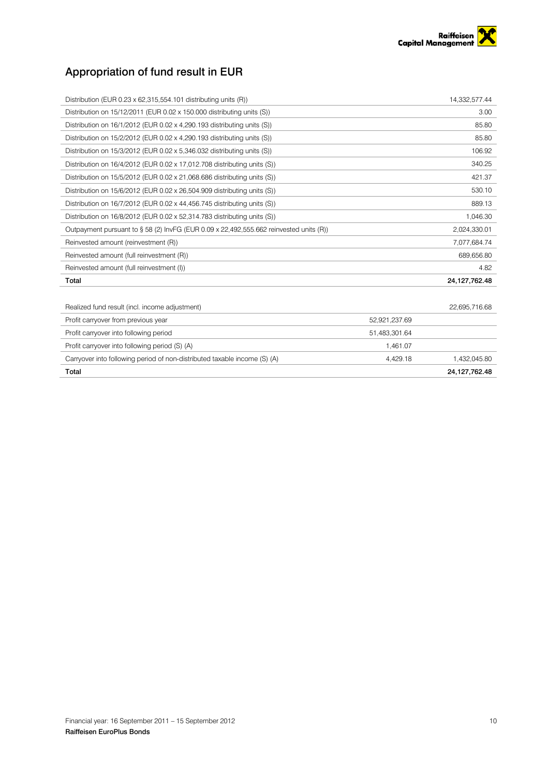

## <span id="page-9-0"></span>Appropriation of fund result in EUR

| Distribution (EUR $0.23 \times 62,315,554.101$ distributing units (R))                    | 14,332,577.44 |
|-------------------------------------------------------------------------------------------|---------------|
| Distribution on 15/12/2011 (EUR 0.02 x 150.000 distributing units (S))                    | 3.00          |
| Distribution on 16/1/2012 (EUR 0.02 x 4,290.193 distributing units (S))                   | 85.80         |
| Distribution on 15/2/2012 (EUR 0.02 x 4,290.193 distributing units (S))                   | 85.80         |
| Distribution on 15/3/2012 (EUR 0.02 x 5,346.032 distributing units (S))                   | 106.92        |
| Distribution on $16/4/2012$ (EUR $0.02 \times 17.012.708$ distributing units (S))         | 340.25        |
| Distribution on $15/5/2012$ (EUR $0.02 \times 21,068.686$ distributing units (S))         | 421.37        |
| Distribution on 15/6/2012 (EUR 0.02 x 26,504.909 distributing units (S))                  | 530.10        |
| Distribution on 16/7/2012 (EUR 0.02 x 44,456.745 distributing units (S))                  | 889.13        |
| Distribution on 16/8/2012 (EUR 0.02 x 52,314.783 distributing units (S))                  | 1,046.30      |
| Outpayment pursuant to $\S$ 58 (2) InvFG (EUR 0.09 x 22,492,555.662 reinvested units (R)) | 2,024,330.01  |
| Reinvested amount (reinvestment (R))                                                      | 7,077,684.74  |
| Reinvested amount (full reinvestment (R))                                                 | 689,656.80    |
| Reinvested amount (full reinvestment (I))                                                 | 4.82          |
| Total                                                                                     | 24,127,762.48 |
|                                                                                           |               |
| Realized fund result (incl. income adjustment)                                            | 22,695,716.68 |

| Profit carryover from previous year                                       | 52.921.237.69 |               |
|---------------------------------------------------------------------------|---------------|---------------|
| Profit carryover into following period                                    | 51.483.301.64 |               |
| Profit carryover into following period (S) (A)                            | 1.461.07      |               |
| Carryover into following period of non-distributed taxable income (S) (A) | 4.429.18      | 1,432,045.80  |
| Total                                                                     |               | 24,127,762.48 |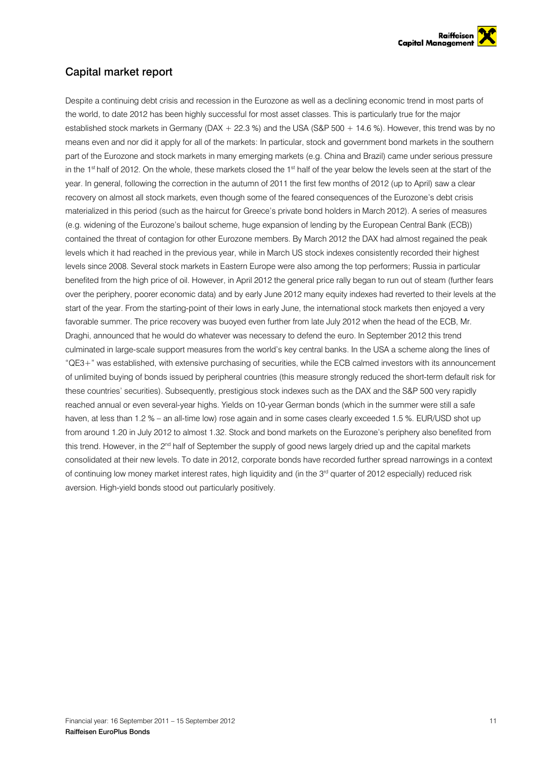

## <span id="page-10-0"></span>Capital market report

Despite a continuing debt crisis and recession in the Eurozone as well as a declining economic trend in most parts of the world, to date 2012 has been highly successful for most asset classes. This is particularly true for the major established stock markets in Germany (DAX + 22.3 %) and the USA (S&P 500 + 14.6 %). However, this trend was by no means even and nor did it apply for all of the markets: In particular, stock and government bond markets in the southern part of the Eurozone and stock markets in many emerging markets (e.g. China and Brazil) came under serious pressure in the 1<sup>st</sup> half of 2012. On the whole, these markets closed the 1<sup>st</sup> half of the year below the levels seen at the start of the year. In general, following the correction in the autumn of 2011 the first few months of 2012 (up to April) saw a clear recovery on almost all stock markets, even though some of the feared consequences of the Eurozone's debt crisis materialized in this period (such as the haircut for Greece's private bond holders in March 2012). A series of measures (e.g. widening of the Eurozone's bailout scheme, huge expansion of lending by the European Central Bank (ECB)) contained the threat of contagion for other Eurozone members. By March 2012 the DAX had almost regained the peak levels which it had reached in the previous year, while in March US stock indexes consistently recorded their highest levels since 2008. Several stock markets in Eastern Europe were also among the top performers; Russia in particular benefited from the high price of oil. However, in April 2012 the general price rally began to run out of steam (further fears over the periphery, poorer economic data) and by early June 2012 many equity indexes had reverted to their levels at the start of the year. From the starting-point of their lows in early June, the international stock markets then enjoyed a very favorable summer. The price recovery was buoyed even further from late July 2012 when the head of the ECB, Mr. Draghi, announced that he would do whatever was necessary to defend the euro. In September 2012 this trend culminated in large-scale support measures from the world's key central banks. In the USA a scheme along the lines of "QE3+" was established, with extensive purchasing of securities, while the ECB calmed investors with its announcement of unlimited buying of bonds issued by peripheral countries (this measure strongly reduced the short-term default risk for these countries' securities). Subsequently, prestigious stock indexes such as the DAX and the S&P 500 very rapidly reached annual or even several-year highs. Yields on 10-year German bonds (which in the summer were still a safe haven, at less than 1.2 % – an all-time low) rose again and in some cases clearly exceeded 1.5 %. EUR/USD shot up from around 1.20 in July 2012 to almost 1.32. Stock and bond markets on the Eurozone's periphery also benefited from this trend. However, in the 2<sup>nd</sup> half of September the supply of good news largely dried up and the capital markets consolidated at their new levels. To date in 2012, corporate bonds have recorded further spread narrowings in a context of continuing low money market interest rates, high liquidity and (in the 3<sup>rd</sup> quarter of 2012 especially) reduced risk aversion. High-yield bonds stood out particularly positively.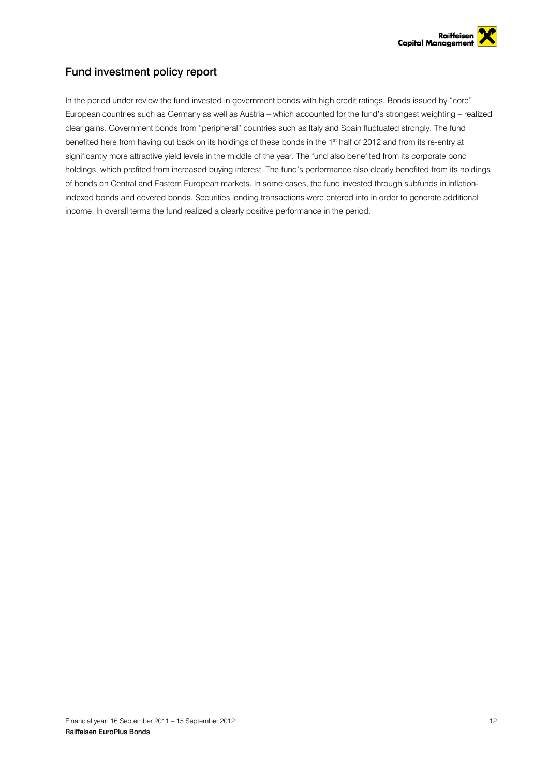

## <span id="page-11-0"></span>Fund investment policy report

In the period under review the fund invested in government bonds with high credit ratings. Bonds issued by "core" European countries such as Germany as well as Austria – which accounted for the fund's strongest weighting – realized clear gains. Government bonds from "peripheral" countries such as Italy and Spain fluctuated strongly. The fund benefited here from having cut back on its holdings of these bonds in the 1<sup>st</sup> half of 2012 and from its re-entry at significantly more attractive yield levels in the middle of the year. The fund also benefited from its corporate bond holdings, which profited from increased buying interest. The fund's performance also clearly benefited from its holdings of bonds on Central and Eastern European markets. In some cases, the fund invested through subfunds in inflationindexed bonds and covered bonds. Securities lending transactions were entered into in order to generate additional income. In overall terms the fund realized a clearly positive performance in the period.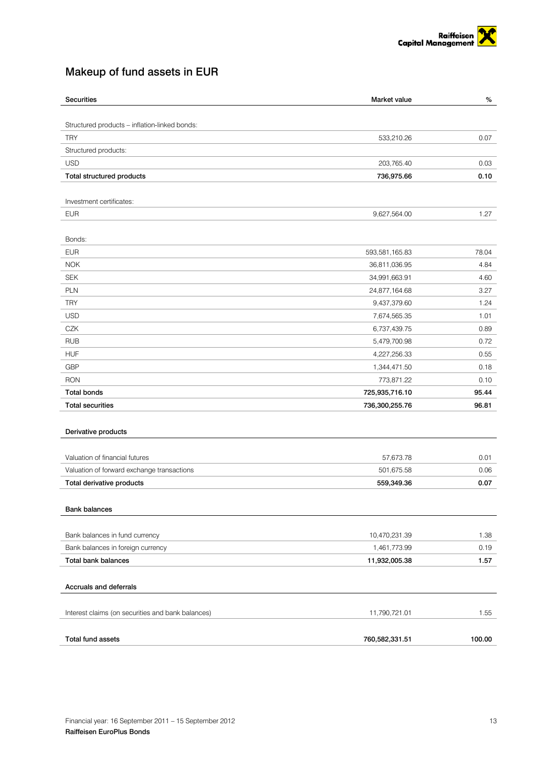

## <span id="page-12-0"></span>Makeup of fund assets in EUR

| <b>Securities</b>                                 | Market value   | $\%$   |
|---------------------------------------------------|----------------|--------|
|                                                   |                |        |
| Structured products - inflation-linked bonds:     |                |        |
| <b>TRY</b>                                        | 533,210.26     | 0.07   |
| Structured products:                              |                |        |
| <b>USD</b>                                        | 203,765.40     | 0.03   |
| Total structured products                         | 736,975.66     | 0.10   |
| Investment certificates:                          |                |        |
| <b>EUR</b>                                        | 9,627,564.00   | 1.27   |
|                                                   |                |        |
| Bonds:                                            |                |        |
| <b>EUR</b>                                        | 593,581,165.83 | 78.04  |
| <b>NOK</b>                                        | 36,811,036.95  | 4.84   |
| <b>SEK</b>                                        | 34,991,663.91  | 4.60   |
| PLN                                               | 24,877,164.68  | 3.27   |
| <b>TRY</b>                                        | 9,437,379.60   | 1.24   |
| <b>USD</b>                                        | 7,674,565.35   | 1.01   |
| CZK                                               | 6,737,439.75   | 0.89   |
| <b>RUB</b>                                        | 5,479,700.98   | 0.72   |
| <b>HUF</b>                                        | 4,227,256.33   | 0.55   |
| <b>GBP</b>                                        | 1,344,471.50   | 0.18   |
| <b>RON</b>                                        | 773,871.22     | 0.10   |
| <b>Total bonds</b>                                | 725,935,716.10 | 95.44  |
| <b>Total securities</b>                           | 736,300,255.76 | 96.81  |
|                                                   |                |        |
| Derivative products                               |                |        |
| Valuation of financial futures                    | 57,673.78      | 0.01   |
| Valuation of forward exchange transactions        | 501,675.58     | 0.06   |
| Total derivative products                         | 559,349.36     | 0.07   |
|                                                   |                |        |
| <b>Bank balances</b>                              |                |        |
|                                                   |                |        |
| Bank balances in fund currency                    | 10,470,231.39  | 1.38   |
| Bank balances in foreign currency                 | 1,461,773.99   | 0.19   |
| <b>Total bank balances</b>                        | 11,932,005.38  | 1.57   |
| Accruals and deferrals                            |                |        |
|                                                   | 11,790,721.01  |        |
| Interest claims (on securities and bank balances) |                | 1.55   |
| <b>Total fund assets</b>                          | 760,582,331.51 | 100.00 |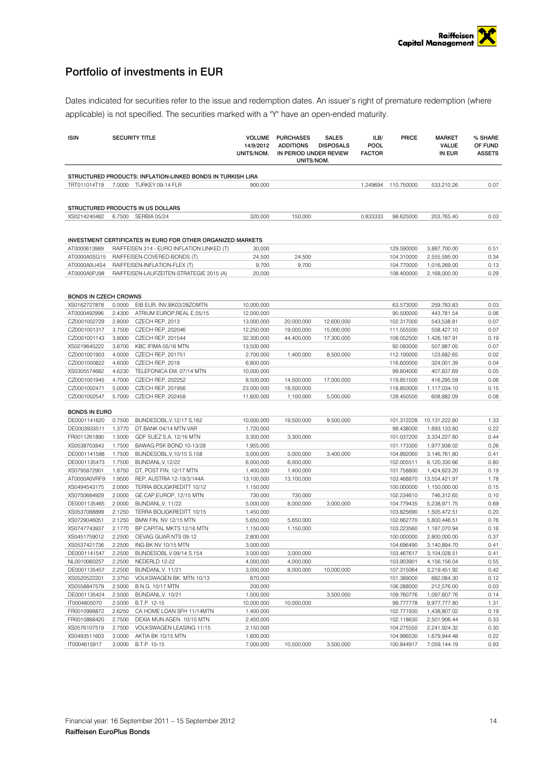## <span id="page-13-0"></span>Portfolio of investments in EUR

Dates indicated for securities refer to the issue and redemption dates. An issuer's right of premature redemption (where applicable) is not specified. The securities marked with a "Y" have an open-ended maturity.

| <b>ISIN</b>                  |                  | <b>SECURITY TITLE</b>                                                     | 14/9/2012<br>UNITS/NOM. | <b>VOLUME PURCHASES</b><br><b>ADDITIONS</b><br>IN PERIOD UNDER REVIEW<br>UNITS/NOM. | <b>SALES</b><br><b>DISPOSALS</b> | ILB/<br><b>POOL</b><br><b>FACTOR</b> | <b>PRICE</b>             | <b>MARKET</b><br>VALUE<br>IN EUR | % SHARE<br>OF FUND<br><b>ASSETS</b> |
|------------------------------|------------------|---------------------------------------------------------------------------|-------------------------|-------------------------------------------------------------------------------------|----------------------------------|--------------------------------------|--------------------------|----------------------------------|-------------------------------------|
|                              |                  |                                                                           |                         |                                                                                     |                                  |                                      |                          |                                  |                                     |
|                              |                  | STRUCTURED PRODUCTS: INFLATION-LINKED BONDS IN TURKISH LIRA               |                         |                                                                                     |                                  |                                      |                          |                                  |                                     |
| TRT011014T19                 |                  | 7.0000 TURKEY 09-14 FLR                                                   | 900.000                 |                                                                                     |                                  | 1.249694                             | 110.750000               | 533,210.26                       | 0.07                                |
|                              |                  |                                                                           |                         |                                                                                     |                                  |                                      |                          |                                  |                                     |
|                              |                  | STRUCTURED PRODUCTS IN US DOLLARS                                         |                         |                                                                                     |                                  |                                      |                          |                                  |                                     |
| XS0214240482                 |                  | 6.7500 SERBIA 05/24                                                       | 320,000                 | 150,000                                                                             |                                  | 0.833333                             | 98.625000                | 203,765.40                       | 0.03                                |
|                              |                  |                                                                           |                         |                                                                                     |                                  |                                      |                          |                                  |                                     |
|                              |                  |                                                                           |                         |                                                                                     |                                  |                                      |                          |                                  |                                     |
|                              |                  | <b>INVESTMENT CERTIFICATES IN EURO FOR OTHER ORGANIZED MARKETS</b>        |                         |                                                                                     |                                  |                                      |                          |                                  |                                     |
| AT0000613989                 |                  | RAIFFEISEN 314 - EURO INFLATION LINKED (T)                                | 30,000                  |                                                                                     |                                  |                                      | 129.590000               | 3,887,700.00                     | 0.51                                |
| AT0000A0SG15                 |                  | RAIFFEISEN-COVERED-BONDS (T)                                              | 24,500                  | 24,500                                                                              |                                  |                                      | 104.310000               | 2,555,595.00                     | 0.34                                |
| AT0000A0U4S4<br>AT0000A0PJ98 |                  | RAIFFEISEN-INFLATION-FLEX (T)<br>RAIFFEISEN-LAUFZEITEN-STRATEGIE 2015 (A) | 9,700<br>20,000         | 9,700                                                                               |                                  |                                      | 104.770000<br>108.400000 | 1,016,269.00<br>2,168,000.00     | 0.13<br>0.29                        |
|                              |                  |                                                                           |                         |                                                                                     |                                  |                                      |                          |                                  |                                     |
|                              |                  |                                                                           |                         |                                                                                     |                                  |                                      |                          |                                  |                                     |
| <b>BONDS IN CZECH CROWNS</b> |                  |                                                                           |                         |                                                                                     |                                  |                                      |                          |                                  |                                     |
| XS0162727878                 | 0.0000           | EIB EUR, INV, BK03/28ZOMTN                                                | 10,000,000              |                                                                                     |                                  |                                      | 63.573000                | 259,783.83                       | 0.03                                |
| AT0000492996                 | 2.4300           | ATRIUM EUROP, REAL E, 05/15                                               | 12,000,000              |                                                                                     |                                  |                                      | 90.500000                | 443,781.54                       | 0.06                                |
| CZ0001002729                 | 2.8000           | CZECH REP, 2013                                                           | 13,000,000              | 20,000,000                                                                          | 12,600,000                       |                                      | 102.317000               | 543,538.81                       | 0.07                                |
| CZ0001001317                 | 3.7500           | CZECH REP, 202046                                                         | 12,250,000              | 19,000,000                                                                          | 15,000,000                       |                                      | 111.555500               | 558,427.10                       | 0.07                                |
| CZ0001001143                 | 3.8000           | <b>CZECH REP, 201544</b>                                                  | 32,300,000              | 44,400,000                                                                          | 17,300,000                       |                                      | 108.052500               | 1,426,187.91                     | 0.19                                |
| XS0219645222                 | 3.8700           | KBC IFIMA 05/16 MTN                                                       | 13,500,000              |                                                                                     |                                  |                                      | 92.083000                | 507,987.05                       | 0.07                                |
| CZ0001001903                 | 4.0000           | CZECH REP, 201751                                                         | 2,700,000               | 1,400,000                                                                           | 8,500,000                        |                                      | 112.100000               | 123,682.65                       | 0.02                                |
| CZ0001000822                 | 4.6000           | CZECH REP, 2018                                                           | 6,800,000               |                                                                                     |                                  |                                      | 116.600000               | 324,001.39                       | 0.04                                |
| XS0305574682                 | 4.6230           | TELEFONICA EM, 07/14 MTN                                                  | 10,000,000              |                                                                                     |                                  |                                      | 99.804000                | 407,837.69                       | 0.05                                |
| CZ0001001945                 | 4.7000           | CZECH REP, 202252                                                         | 8,500,000               | 14,500,000                                                                          | 17,000,000                       |                                      | 119.851500               | 416,295.59                       | 0.06                                |
| CZ0001002471                 | 5.0000           | CZECH REP, 201956                                                         | 23,000,000              | 18,500,000                                                                          |                                  |                                      | 118.850000               | 1,117,034.10                     | 0.15                                |
| CZ0001002547                 | 5.7000           | CZECH REP, 202458                                                         | 11,600,000              | 1,100,000                                                                           | 5,000,000                        |                                      | 128.450500               | 608,882.09                       | 0.08                                |
| <b>BONDS IN EURO</b>         |                  |                                                                           |                         |                                                                                     |                                  |                                      |                          |                                  |                                     |
| DE0001141620                 | 0.7500           | BUNDESOBL, V, 12/17 S, 162                                                | 10,000,000              | 19,500,000                                                                          | 9,500,000                        |                                      | 101.312228               | 10,131,222.80                    | 1.33                                |
| DE0003933511                 | 1.3770           | DT,BANK 04/14 MTN VAR                                                     | 1,720,000               |                                                                                     |                                  |                                      | 98.438000                | 1,693,133.60                     | 0.22                                |
| FR0011261890                 | 1.5000           | GDF SUEZ S,A, 12/16 MTN                                                   | 3,300,000               | 3,300,000                                                                           |                                  |                                      | 101.037200               | 3,334,227.60                     | 0.44                                |
| XS0538703843                 | 1.7500           | BAWAG PSK BOND 10-13/28                                                   | 1,955,000               |                                                                                     |                                  |                                      | 101.173300               | 1,977,938.02                     | 0.26                                |
| DE0001141588                 | 1.7500           | BUNDESOBL, V, 10/15 S, 158                                                | 3,000,000               | 5,000,000                                                                           | 3,400,000                        |                                      | 104.892060               | 3,146,761.80                     | 0.41                                |
| DE0001135473                 | 1.7500           | BUNDANL, V, 12/22                                                         | 6,000,000               | 6,000,000                                                                           |                                  |                                      | 102.005511               | 6,120,330.66                     | 0.80                                |
| XS0795872901                 | 1.8750           | DT, POST FIN, 12/17 MTN                                                   | 1,400,000               | 1,400,000                                                                           |                                  |                                      | 101.758800               | 1,424,623.20                     | 0.19                                |
| AT0000A0VRF9                 | 1.9500           | REP, AUSTRIA 12-19/3/144A                                                 | 13,100,000              | 13,100,000                                                                          |                                  |                                      | 103.468870               | 13,554,421.97                    | 1.78                                |
| XS0494543175                 | 2.0000           | TERRA BOLIGKREDITT 10/12                                                  | 1,150,000               |                                                                                     |                                  |                                      | 100.000000               | 1,150,000.00                     | 0.15                                |
| XS0750684929                 | 2.0000           | GE CAP, EUROP, 12/15 MTN                                                  | 730,000                 | 730,000                                                                             |                                  |                                      | 102.234610               | 746,312.65                       | 0.10                                |
| DE0001135465                 | 2.0000           | BUNDANL, V, 11/22                                                         | 5,000,000               | 8,000,000                                                                           | 3,000,000                        |                                      | 104.779435               | 5,238,971.75                     | 0.69                                |
| XS0537088899                 | 2.1250           | TERRA BOLIGKREDITT 10/15                                                  | 1,450,000               |                                                                                     |                                  |                                      | 103.825690               | 1,505,472.51                     | 0.20                                |
| XS0729046051                 | 2.1250           | BMW FIN, NV 12/15 MTN                                                     | 5,650,000               | 5,650,000                                                                           |                                  |                                      | 102.662770               | 5,800,446.51                     | 0.76                                |
| XS0747743937                 | 2.1770           | BP CAPITAL MKTS 12/16 MTN                                                 | 1,150,000               | 1,150,000                                                                           |                                  |                                      | 103.223560               | 1,187,070.94                     | 0.16                                |
| XS0451759012                 | 2.2500           | OEVAG GUAR.NTS 09-12                                                      | 2,800,000               |                                                                                     |                                  |                                      | 100.000000               | 2,800,000.00                     | 0.37                                |
| XS0537421736                 | 2.2500           | ING BK NV 10/15 MTN                                                       | 3,000,000               |                                                                                     |                                  |                                      | 104.696490               | 3,140,894.70                     | 0.41                                |
| DE0001141547<br>NL0010060257 | 2.2500<br>2.2500 | BUNDESOBL.V.09/14 S.154<br>NEDERLD 12-22                                  | 3.000.000<br>4,000,000  | 3,000,000<br>4,000,000                                                              |                                  |                                      | 103.467617<br>103.903901 | 3,104,028.51                     | 0.41<br>0.55                        |
| DE0001135457                 | 2.2500           | BUNDANL.V. 11/21                                                          | 3,000,000               | 8,000,000                                                                           | 10,000,000                       |                                      | 107.315064               | 4,156,156.04<br>3,219,451.92     | 0.42                                |
| XS0520522201                 | 2.3750           | VOLKSWAGEN BK. MTN 10/13                                                  | 870,000                 |                                                                                     |                                  |                                      | 101.389000               | 882,084.30                       | 0.12                                |
| XS0558847579                 | 2.5000           | B.N.G. 10/17 MTN                                                          | 200,000                 |                                                                                     |                                  |                                      | 106.288000               | 212,576.00                       | 0.03                                |
| DE0001135424                 | 2.5000           | BUNDANL.V. 10/21                                                          | 1,000,000               |                                                                                     | 3,500,000                        |                                      | 109.760776               | 1,097,607.76                     | 0.14                                |
| IT0004805070                 | 2.5000           | B.T.P. 12-15                                                              | 10,000,000              | 10,000,000                                                                          |                                  |                                      | 99.777778                | 9,977,777.80                     | 1.31                                |
| FR0010998872                 | 2.6250           | CA HOME LOAN SFH 11/14MTN                                                 | 1,400,000               |                                                                                     |                                  |                                      | 102.771930               | 1,438,807.02                     | 0.19                                |
| FR0010888420                 | 2.7500           | DEXIA MUN.AGEN. 10/15 MTN                                                 | 2,450,000               |                                                                                     |                                  |                                      | 102.118630               | 2,501,906.44                     | 0.33                                |
| XS0576107519                 | 2.7500           | VOLKSWAGEN LEASING 11/15                                                  | 2,150,000               |                                                                                     |                                  |                                      | 104.275550               | 2,241,924.32                     | 0.30                                |
| XS0493511603                 | 3.0000           | AKTIA BK 10/15 MTN                                                        | 1,600,000               |                                                                                     |                                  |                                      | 104.996530               | 1,679,944.48                     | 0.22                                |
| IT0004615917                 | 3.0000           | B.T.P. 10-15                                                              | 7,000,000               | 10,500,000                                                                          | 3,500,000                        |                                      | 100.844917               | 7,059,144.19                     | 0.93                                |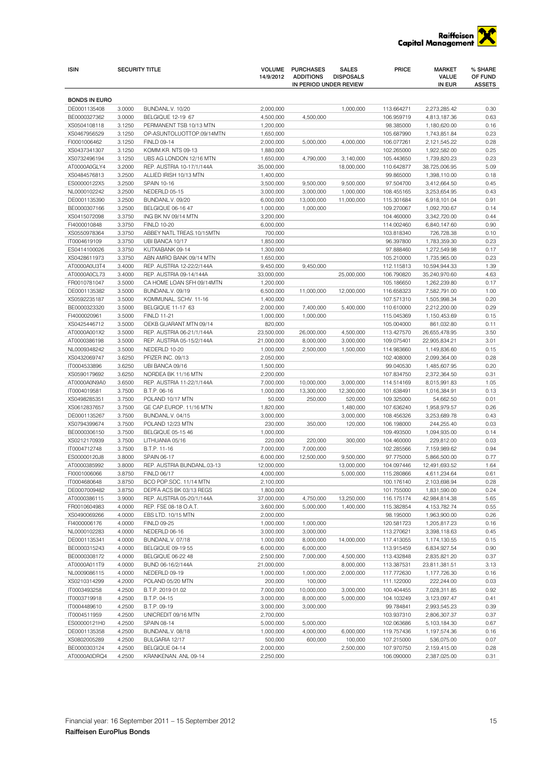

| <b>ISIN</b>                  |                  | <b>SECURITY TITLE</b>                            | <b>VOLUME</b><br>14/9/2012 | <b>PURCHASES</b><br><b>ADDITIONS</b> | SALES<br><b>DISPOSALS</b> | PRICE                    | <b>MARKET</b><br><b>VALUE</b> | % SHARE<br>OF FUND |
|------------------------------|------------------|--------------------------------------------------|----------------------------|--------------------------------------|---------------------------|--------------------------|-------------------------------|--------------------|
|                              |                  |                                                  |                            | IN PERIOD UNDER REVIEW               |                           |                          | IN EUR                        | <b>ASSETS</b>      |
| <b>BONDS IN EURO</b>         |                  |                                                  |                            |                                      |                           |                          |                               |                    |
| DE0001135408                 | 3.0000           | BUNDANL.V. 10/20                                 | 2,000,000                  |                                      | 1,000,000                 | 113.664271               | 2,273,285.42                  | 0.30               |
| BE0000327362                 | 3.0000           | BELGIQUE 12-19 67                                | 4,500,000                  | 4,500,000                            |                           | 106.959719               | 4,813,187.36                  | 0.63               |
| XS0504108118                 | 3.1250           | PERMANENT TSB 10/13 MTN                          | 1,200,000                  |                                      |                           | 98.385000                | 1,180,620.00                  | 0.16               |
| XS0467956529<br>FI0001006462 | 3.1250<br>3.1250 | OP-ASUNTOLUOTTOP.09/14MTN<br><b>FINLD 09-14</b>  | 1,650,000<br>2,000,000     | 5,000,000                            | 4,000,000                 | 105.687990<br>106.077261 | 1,743,851.84                  | 0.23<br>0.28       |
| XS0437341307                 | 3.1250           | KOMM.KR. NTS 09-13                               | 1,880,000                  |                                      |                           | 102.265000               | 2,121,545.22<br>1,922,582.00  | 0.25               |
| XS0732496194                 | 3.1250           | UBS AG LONDON 12/16 MTN                          | 1,650,000                  | 4,790,000                            | 3,140,000                 | 105.443650               | 1,739,820.23                  | 0.23               |
| AT0000A0GLY4                 | 3.2000           | REP. AUSTRIA 10-17/1/144A                        | 35,000,000                 |                                      | 18,000,000                | 110.642877               | 38,725,006.95                 | 5.09               |
| XS0484576813                 | 3.2500           | ALLIED IRISH 10/13 MTN                           | 1,400,000                  |                                      |                           | 99.865000                | 1,398,110.00                  | 0.18               |
| ES00000122X5                 | 3.2500           | SPAIN 10-16                                      | 3,500,000                  | 9,500,000                            | 9,500,000                 | 97.504700                | 3,412,664.50                  | 0.45               |
| NL0000102242                 | 3.2500           | NEDERLD 05-15                                    | 3,000,000                  | 3,000,000                            | 1,000,000                 | 108.455165               | 3,253,654.95                  | 0.43               |
| DE0001135390                 | 3.2500           | BUNDANL.V. 09/20                                 | 6,000,000                  | 13,000,000                           | 11,000,000                | 115.301684               | 6,918,101.04                  | 0.91               |
| BE0000307166                 | 3.2500           | BELGIQUE 06-16 47                                | 1,000,000                  | 1,000,000                            |                           | 109.270067               | 1,092,700.67                  | 0.14               |
| XS0415072098<br>FI4000010848 | 3.3750<br>3.3750 | ING BK NV 09/14 MTN<br><b>FINLD 10-20</b>        | 3,200,000<br>6,000,000     |                                      |                           | 104.460000<br>114.002460 | 3,342,720.00<br>6,840,147.60  | 0.44<br>0.90       |
| XS0550978364                 | 3.3750           | ABBEY NATL TREAS.10/15MTN                        | 700,000                    |                                      |                           | 103.818340               | 726,728.38                    | 0.10               |
| IT0004619109                 | 3.3750           | UBI BANCA 10/17                                  | 1,850,000                  |                                      |                           | 96.397800                | 1,783,359.30                  | 0.23               |
| ES0414100026                 | 3.3750           | KUTXABANK 09-14                                  | 1,300,000                  |                                      |                           | 97.888460                | 1,272,549.98                  | 0.17               |
| XS0428611973                 | 3.3750           | ABN AMRO BANK 09/14 MTN                          | 1,650,000                  |                                      |                           | 105.210000               | 1,735,965.00                  | 0.23               |
| AT0000A0U3T4                 | 3.4000           | REP. AUSTRIA 12-22/2/144A                        | 9,450,000                  | 9,450,000                            |                           | 112.115813               | 10,594,944.33                 | 1.39               |
| AT0000A0CL73                 | 3.4000           | REP. AUSTRIA 09-14/144A                          | 33,000,000                 |                                      | 25,000,000                | 106.790820               | 35,240,970.60                 | 4.63               |
| FR0010781047                 | 3.5000           | CA HOME LOAN SFH 09/14MTN                        | 1,200,000                  |                                      |                           | 105.186650               | 1,262,239.80                  | 0.17               |
| DE0001135382                 | 3.5000           | BUNDANL.V. 09/19                                 | 6,500,000                  | 11,000,000                           | 12,000,000                | 116.658323               | 7,582,791.00                  | 1.00               |
| XS0592235187<br>BE0000323320 | 3.5000<br>3.5000 | KOMMUNAL. SCHV. 11-16<br>BELGIQUE 11-17 63       | 1,400,000<br>2,000,000     | 7,400,000                            | 5,400,000                 | 107.571310<br>110.610000 | 1,505,998.34<br>2,212,200.00  | 0.20<br>0.29       |
| FI4000020961                 | 3.5000           | <b>FINLD 11-21</b>                               | 1,000,000                  | 1,000,000                            |                           | 115.045369               | 1,150,453.69                  | 0.15               |
| XS0425446712                 | 3.5000           | OEKB GUARANT.MTN 09/14                           | 820,000                    |                                      |                           | 105.004000               | 861,032.80                    | 0.11               |
| AT0000A001X2                 | 3.5000           | REP. AUSTRIA 06-21/1/144A                        | 23,500,000                 | 26,000,000                           | 4,500,000                 | 113.427570               | 26,655,478.95                 | 3.50               |
| AT0000386198                 | 3.5000           | REP. AUSTRIA 05-15/2/144A                        | 21,000,000                 | 8,000,000                            | 3,000,000                 | 109.075401               | 22,905,834.21                 | 3.01               |
| NL0009348242                 | 3.5000           | NEDERLD 10-20                                    | 1,000,000                  | 2,500,000                            | 1,500,000                 | 114.983660               | 1,149,836.60                  | 0.15               |
| XS0432069747                 | 3.6250           | PFIZER INC. 09/13                                | 2,050,000                  |                                      |                           | 102.408000               | 2,099,364.00                  | 0.28               |
| IT0004533896                 | 3.6250           | UBI BANCA 09/16                                  | 1,500,000                  |                                      |                           | 99.040530                | 1,485,607.95                  | 0.20               |
| XS0590179692<br>AT0000A0N9A0 | 3.6250<br>3.6500 | NORDEA BK 11/16 MTN<br>REP. AUSTRIA 11-22/1/144A | 2,200,000<br>7,000,000     | 10,000,000                           | 3,000,000                 | 107.834750<br>114.514169 | 2,372,364.50<br>8,015,991.83  | 0.31<br>1.05       |
| IT0004019581                 | 3.7500           | B.T.P. 06-16                                     | 1,000,000                  | 13,300,000                           | 12,300,000                | 101.638491               | 1,016,384.91                  | 0.13               |
| XS0498285351                 | 3.7500           | POLAND 10/17 MTN                                 | 50,000                     | 250,000                              | 520,000                   | 109.325000               | 54,662.50                     | 0.01               |
| XS0612837657                 | 3.7500           | GE CAP.EUROP. 11/16 MTN                          | 1,820,000                  |                                      | 1,480,000                 | 107.636240               | 1,958,979.57                  | 0.26               |
| DE0001135267                 | 3.7500           | BUNDANL.V. 04/15                                 | 3,000,000                  |                                      | 3,000,000                 | 108.456326               | 3,253,689.78                  | 0.43               |
| XS0794399674                 | 3.7500           | POLAND 12/23 MTN                                 | 230,000                    | 350,000                              | 120,000                   | 106.198000               | 244,255.40                    | 0.03               |
| BE0000306150                 | 3.7500           | BELGIQUE 05-15 46                                | 1,000,000                  |                                      |                           | 109.493500               | 1,094,935.00                  | 0.14               |
| XS0212170939                 | 3.7500           | LITHUANIA 05/16                                  | 220,000                    | 220,000                              | 300,000                   | 104.460000               | 229,812.00                    | 0.03               |
| IT0004712748<br>ES00000120J8 | 3.7500<br>3.8000 | B.T.P. 11-16<br>SPAIN 06-17                      | 7,000,000<br>6,000,000     | 7,000,000<br>12,500,000              | 9,500,000                 | 102.285566<br>97.775000  | 7,159,989.62<br>5,866,500.00  | 0.94<br>0.77       |
| AT0000385992                 | 3.8000           | REP. AUSTRIA BUNDANL.03-13                       | 12,000,000                 |                                      | 13,000,000                | 104.097446               | 12,491,693.52                 | 1.64               |
| FI0001006066                 | 3.8750           | <b>FINLD 06/17</b>                               | 4,000,000                  |                                      | 5,000,000                 | 115.280866               | 4,611,234.64                  | 0.61               |
| IT0004680648                 | 3.8750           | BCO POP.SOC. 11/14 MTN                           | 2,100,000                  |                                      |                           | 100.176140               | 2,103,698.94                  | 0.28               |
| DE0007009482                 | 3.8750           | DEPFA ACS BK 03/13 REGS                          | 1,800,000                  |                                      |                           | 101.755000               | 1,831,590.00                  | 0.24               |
| AT0000386115                 | 3.9000           | REP. AUSTRIA 05-20/1/144A                        | 37,000,000                 | 4,750,000                            | 13,250,000                | 116.175174               | 42,984,814.38                 | 5.65               |
| FR0010604983                 | 4.0000           | REP. FSE 08-18 O.A.T.                            | 3,600,000                  | 5,000,000                            | 1,400,000                 | 115.382854               | 4,153,782.74                  | 0.55               |
| XS0490069266                 | 4.0000           | EBS LTD. 10/15 MTN                               | 2,000,000                  |                                      |                           | 98.195000                | 1,963,900.00                  | 0.26               |
| FI4000006176                 | 4.0000           | <b>FINLD 09-25</b>                               | 1,000,000                  | 1,000,000                            |                           | 120.581723               | 1,205,817.23                  | 0.16               |
| NL0000102283<br>DE0001135341 | 4.0000<br>4.0000 | NEDERLD 06-16<br>BUNDANL.V. 07/18                | 3,000,000<br>1,000,000     | 3,000,000<br>8,000,000               | 14,000,000                | 113.270621<br>117.413055 | 3,398,118.63<br>1,174,130.55  | 0.45<br>0.15       |
| BE0000315243                 | 4.0000           | BELGIQUE 09-19 55                                | 6,000,000                  | 6,000,000                            |                           | 113.915459               | 6,834,927.54                  | 0.90               |
| BE0000308172                 | 4.0000           | BELGIQUE 06-22 48                                | 2,500,000                  | 7,000,000                            | 4,500,000                 | 113.432848               | 2,835,821.20                  | 0.37               |
| AT0000A011T9                 | 4.0000           | BUND 06-16/2/144A                                | 21,000,000                 |                                      | 8,000,000                 | 113.387531               | 23,811,381.51                 | 3.13               |
| NL0009086115                 | 4.0000           | NEDERLD 09-19                                    | 1,000,000                  | 1,000,000                            | 2,000,000                 | 117.772630               | 1,177,726.30                  | 0.16               |
| XS0210314299                 | 4.2000           | POLAND 05/20 MTN                                 | 200,000                    | 100,000                              |                           | 111.122000               | 222,244.00                    | 0.03               |
| IT0003493258                 | 4.2500           | B.T.P. 2019 01.02                                | 7,000,000                  | 10,000,000                           | 3,000,000                 | 100.404455               | 7,028,311.85                  | 0.92               |
| IT0003719918                 | 4.2500           | B.T.P. 04-15                                     | 3,000,000                  | 8,000,000                            | 5,000,000                 | 104.103249               | 3,123,097.47                  | 0.41               |
| IT0004489610                 | 4.2500           | B.T.P. 09-19                                     | 3,000,000                  | 3,000,000                            |                           | 99.784841                | 2,993,545.23                  | 0.39               |
| IT0004511959<br>ES00000121H0 | 4.2500<br>4.2500 | UNICREDIT 09/16 MTN<br>SPAIN 08-14               | 2,700,000<br>5,000,000     | 5,000,000                            |                           | 103.937310<br>102.063686 | 2,806,307.37<br>5,103,184.30  | 0.37<br>0.67       |
| DE0001135358                 | 4.2500           | BUNDANL.V. 08/18                                 | 1,000,000                  | 4,000,000                            | 6,000,000                 | 119.757436               | 1,197,574.36                  | 0.16               |
| XS0802005289                 | 4.2500           | BULGARIA 12/17                                   | 500,000                    | 600,000                              | 100,000                   | 107.215000               | 536,075.00                    | 0.07               |
| BE0000303124                 | 4.2500           | BELGIQUE 04-14                                   | 2,000,000                  |                                      | 2,500,000                 | 107.970750               | 2,159,415.00                  | 0.28               |
| AT0000A0DRQ4                 | 4.2500           | KRANKENAN. ANL 09-14                             | 2,250,000                  |                                      |                           | 106.090000               | 2,387,025.00                  | 0.31               |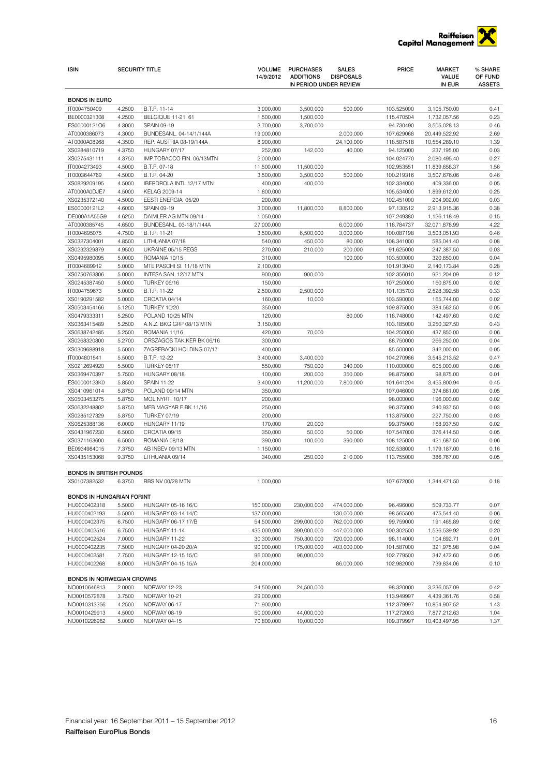

| <b>ISIN</b>                          |        | <b>SECURITY TITLE</b>     | <b>VOLUME</b><br>14/9/2012 | <b>PURCHASES</b><br><b>ADDITIONS</b> | <b>SALES</b><br><b>DISPOSALS</b> | PRICE      | <b>MARKET</b><br><b>VALUE</b> | % SHARE<br>OF FUND |
|--------------------------------------|--------|---------------------------|----------------------------|--------------------------------------|----------------------------------|------------|-------------------------------|--------------------|
|                                      |        |                           |                            | IN PERIOD UNDER REVIEW               |                                  |            | IN EUR                        | <b>ASSETS</b>      |
|                                      |        |                           |                            |                                      |                                  |            |                               |                    |
| <b>BONDS IN EURO</b><br>IT0004750409 | 4.2500 | B.T.P. 11-14              | 3,000,000                  | 3,500,000                            | 500,000                          | 103.525000 | 3,105,750.00                  | 0.41               |
| BE0000321308                         | 4.2500 | BELGIQUE 11-21 61         | 1,500,000                  | 1,500,000                            |                                  | 115.470504 | 1,732,057.56                  | 0.23               |
| ES00000121O6                         | 4.3000 | SPAIN 09-19               | 3,700,000                  | 3.700.000                            |                                  | 94.730490  | 3,505,028.13                  | 0.46               |
| AT0000386073                         | 4.3000 | BUNDESANL. 04-14/1/144A   | 19,000,000                 |                                      | 2,000,000                        | 107.629068 | 20,449,522.92                 | 2.69               |
| AT0000A08968                         | 4.3500 | REP. AUSTRIA 08-19/144A   | 8,900,000                  |                                      | 24,100,000                       | 118.587518 | 10,554,289.10                 | 1.39               |
| XS0284810719                         | 4.3750 | HUNGARY 07/17             | 252,000                    | 142,000                              | 40,000                           | 94.125000  | 237,195.00                    | 0.03               |
| XS0275431111                         | 4.3750 | IMP.TOBACCO FIN. 06/13MTN | 2,000,000                  |                                      |                                  | 104.024770 | 2,080,495.40                  | 0.27               |
| IT0004273493                         | 4.5000 | B.T.P. 07-18              | 11,500,000                 | 11,500,000                           |                                  | 102.953551 | 11,839,658.37                 | 1.56               |
| IT0003644769                         | 4.5000 | B.T.P. 04-20              | 3,500,000                  | 3,500,000                            | 500,000                          | 100.219316 | 3,507,676.06                  | 0.46               |
| XS0829209195                         | 4.5000 | IBERDROLA INTL 12/17 MTN  | 400,000                    | 400,000                              |                                  | 102.334000 | 409,336.00                    | 0.05               |
| AT0000A0DJE7                         | 4.5000 | KELAG 2009-14             | 1,800,000                  |                                      |                                  | 105.534000 | 1,899,612.00                  | 0.25               |
| XS0235372140                         | 4.5000 | EESTI ENERGIA 05/20       | 200,000                    |                                      |                                  | 102.451000 | 204,902.00                    | 0.03               |
| ES00000121L2                         | 4.6000 | SPAIN 09-19               | 3,000,000                  | 11,800,000                           | 8,800,000                        | 97.130512  | 2,913,915.36                  | 0.38               |
| DE000A1A55G9                         | 4.6250 | DAIMLER AG.MTN 09/14      | 1,050,000                  |                                      |                                  | 107.249380 | 1,126,118.49                  | 0.15               |
| AT0000385745                         | 4.6500 | BUNDESANL. 03-18/1/144A   | 27,000,000                 |                                      | 6,000,000                        | 118.784737 | 32,071,878.99                 | 4.22               |
| IT0004695075                         | 4.7500 | B.T.P. 11-21              | 3,500,000                  | 6,500,000                            | 3,000,000                        | 100.087198 | 3,503,051.93                  | 0.46               |
| XS0327304001                         | 4.8500 | LITHUANIA 07/18           | 540,000                    | 450,000                              | 80,000                           | 108.341000 | 585,041.40                    | 0.08               |
| XS0232329879                         | 4.9500 | UKRAINE 05/15 REGS        | 270,000                    | 210,000                              | 200,000                          | 91.625000  | 247,387.50                    | 0.03               |
| XS0495980095                         | 5.0000 | ROMANIA 10/15             | 310,000                    |                                      | 100,000                          | 103.500000 | 320,850.00                    | 0.04               |
| IT0004689912                         | 5.0000 | MTE PASCHI SI. 11/18 MTN  | 2,100,000                  |                                      |                                  | 101.913040 | 2,140,173.84                  | 0.28               |
| XS0750763806                         | 5.0000 | INTESA SAN. 12/17 MTN     | 900,000                    | 900,000                              |                                  | 102.356010 | 921,204.09                    | 0.12               |
| XS0245387450                         | 5.0000 | <b>TURKEY 06/16</b>       | 150,000                    |                                      |                                  | 107.250000 | 160,875.00                    | 0.02               |
| IT0004759673                         | 5.0000 | B.T.P. 11-22              | 2,500,000                  | 2,500,000                            |                                  | 101.135703 | 2,528,392.58                  | 0.33               |
| XS0190291582                         | 5.0000 | CROATIA 04/14             | 160,000                    | 10,000                               |                                  | 103.590000 | 165,744.00                    | 0.02               |
| XS0503454166                         | 5.1250 | <b>TURKEY 10/20</b>       | 350,000                    |                                      |                                  | 109.875000 | 384,562.50                    | 0.05               |
| XS0479333311                         | 5.2500 | POLAND 10/25 MTN          | 120,000                    |                                      | 80,000                           | 118.748000 | 142,497.60                    | 0.02               |
| XS0363415489                         | 5.2500 | A.N.Z. BKG GRP 08/13 MTN  | 3,150,000                  |                                      |                                  | 103.185000 | 3,250,327.50                  | 0.43               |
| XS0638742485                         | 5.2500 | ROMANIA 11/16             | 420,000                    | 70,000                               |                                  | 104.250000 | 437,850.00                    | 0.06               |
| XS0268320800                         | 5.2700 | ORSZAGOS TAK.KER BK 06/16 | 300,000                    |                                      |                                  | 88.750000  | 266,250.00                    | 0.04               |
| XS0309688918                         | 5.5000 | ZAGREBACKI HOLDING 07/17  | 400,000                    |                                      |                                  | 85.500000  | 342,000.00                    | 0.05               |
| IT0004801541                         | 5.5000 | B.T.P. 12-22              | 3,400,000                  | 3,400,000                            |                                  | 104.270986 | 3,545,213.52                  | 0.47               |
| XS0212694920                         | 5.5000 | <b>TURKEY 05/17</b>       | 550,000                    | 750,000                              | 340,000                          | 110.000000 | 605,000.00                    | 0.08               |
| XS0369470397                         | 5.7500 | HUNGARY 08/18             | 100,000                    | 200,000                              | 350,000                          | 98.875000  | 98,875.00                     | 0.01               |
| ES00000123K0                         | 5.8500 | <b>SPAIN 11-22</b>        | 3,400,000                  | 11,200,000                           | 7,800,000                        | 101.641204 | 3,455,800.94                  | 0.45               |
| XS0410961014                         | 5.8750 | POLAND 09/14 MTN          | 350,000                    |                                      |                                  | 107.046000 | 374,661.00                    | 0.05               |
| XS0503453275                         | 5.8750 | <b>MOL NYRT. 10/17</b>    | 200,000                    |                                      |                                  | 98.000000  | 196,000.00                    | 0.02               |
| XS0632248802                         | 5.8750 | MFB MAGYAR F.BK 11/16     | 250,000                    |                                      |                                  | 96.375000  | 240,937.50                    | 0.03               |
| XS0285127329                         | 5.8750 | <b>TURKEY 07/19</b>       | 200,000                    |                                      |                                  | 113.875000 | 227,750.00                    | 0.03               |
| XS0625388136                         | 6.0000 | HUNGARY 11/19             | 170,000                    | 20.000                               |                                  | 99.375000  | 168,937.50                    | 0.02               |
| XS0431967230                         | 6.5000 | CROATIA 09/15             | 350,000                    | 50,000                               | 50,000                           | 107.547000 | 376,414.50                    | 0.05               |
| XS0371163600                         | 6.5000 | ROMANIA 08/18             | 390,000                    | 100,000                              | 390.000                          | 108.125000 | 421,687.50                    | 0.06               |
| BE0934984015                         | 7.3750 | AB INBEV 09/13 MTN        | 1,150,000                  |                                      |                                  | 102.538000 | 1,179,187.00                  | 0.16               |
| XS0435153068                         | 9.3750 | LITHUANIA 09/14           | 340,000                    | 250,000                              | 210,000                          | 113.755000 | 386,767.00                    | 0.05               |
| <b>BONDS IN BRITISH POUNDS</b>       |        |                           |                            |                                      |                                  |            |                               |                    |
|                                      | 6.3750 |                           |                            |                                      |                                  |            |                               |                    |
| XS0107382532                         |        | <b>HBS NV 00/28 MIN</b>   | 1,000,000                  |                                      |                                  | 107.672000 | 1,344,471.50                  | 0.18               |
| <b>BONDS IN HUNGARIAN FORINT</b>     |        |                           |                            |                                      |                                  |            |                               |                    |
| HU0000402318                         | 5.5000 | HUNGARY 05-16 16/C        | 150,000,000                | 230,000,000                          | 474,000,000                      | 96.496000  | 509,733.77                    | 0.07               |
| HU0000402193                         | 5.5000 | HUNGARY 03-14 14/C        | 137,000,000                |                                      | 130,000,000                      | 98.565500  | 475,541.40                    | 0.06               |
| HU0000402375                         | 6.7500 | HUNGARY 06-17 17/B        | 54,500,000                 | 299,000,000                          | 762,000,000                      | 99.759000  | 191,465.89                    | 0.02               |
| HU0000402516                         | 6.7500 | HUNGARY 11-14             | 435,000,000                | 390,000,000                          | 447,000,000                      | 100.302500 | 1,536,539.92                  | 0.20               |
| HU0000402524                         | 7.0000 | HUNGARY 11-22             | 30,300,000                 | 750,300,000                          | 720,000,000                      | 98.114000  | 104,692.71                    | 0.01               |
| HU0000402235                         | 7.5000 | HUNGARY 04-20 20/A        | 90,000,000                 | 175,000,000                          | 403,000,000                      | 101.587000 | 321,975.98                    | 0.04               |
| HU0000402581                         | 7.7500 | HUNGARY 12-15 15/C        | 96,000,000                 | 96,000,000                           |                                  | 102.779500 | 347,472.60                    | 0.05               |
| HU0000402268                         | 8.0000 | HUNGARY 04-15 15/A        | 204,000,000                |                                      | 86,000,000                       | 102.982000 | 739,834.06                    | 0.10               |
| <b>BONDS IN NORWEGIAN CROWNS</b>     |        |                           |                            |                                      |                                  |            |                               |                    |
| NO0010646813                         | 2.0000 | NORWAY 12-23              | 24,500,000                 | 24,500,000                           |                                  | 98.320000  | 3,236,057.09                  | 0.42               |
| NO0010572878                         | 3.7500 | NORWAY 10-21              | 29,000,000                 |                                      |                                  | 113.949997 | 4,439,361.76                  | 0.58               |
| NO0010313356                         | 4.2500 | NORWAY 06-17              | 71,900,000                 |                                      |                                  | 112.379997 | 10,854,907.52                 | 1.43               |
| NO0010429913                         | 4.5000 | NORWAY 08-19              | 50,000,000                 | 44,000,000                           |                                  | 117.272003 | 7,877,212.63                  | 1.04               |
| NO0010226962                         | 5.0000 | NORWAY 04-15              | 70,800,000                 | 10,000,000                           |                                  | 109.379997 | 10,403,497.95                 | 1.37               |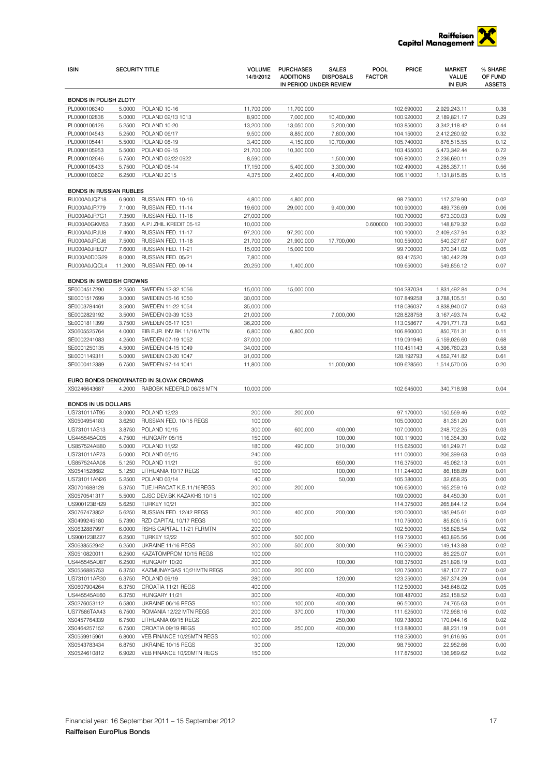

| ISIN                                         | <b>SECURITY TITLE</b> |                                                   | <b>VOLUME</b>            | <b>PURCHASES</b>                           | <b>SALES</b>       | POOL          | <b>PRICE</b>             | <b>MARKET</b>              | % SHARE                  |
|----------------------------------------------|-----------------------|---------------------------------------------------|--------------------------|--------------------------------------------|--------------------|---------------|--------------------------|----------------------------|--------------------------|
|                                              |                       |                                                   | 14/9/2012                | <b>ADDITIONS</b><br>IN PERIOD UNDER REVIEW | <b>DISPOSALS</b>   | <b>FACTOR</b> |                          | <b>VALUE</b><br>IN EUR     | OF FUND<br><b>ASSETS</b> |
|                                              |                       |                                                   |                          |                                            |                    |               |                          |                            |                          |
| <b>BONDS IN POLISH ZLOTY</b><br>PL0000106340 | 5.0000                | POLAND 10-16                                      | 11,700,000               | 11,700,000                                 |                    |               | 102.690000               | 2,929,243.11               | 0.38                     |
| PL0000102836                                 | 5.0000                | POLAND 02/13 1013                                 | 8,900,000                | 7,000,000                                  | 10,400,000         |               | 100.920000               | 2,189,821.17               | 0.29                     |
| PL0000106126                                 | 5.2500                | POLAND 10-20                                      | 13,200,000               | 13,050,000                                 | 5,200,000          |               | 103.850000               | 3,342,118.42               | 0.44                     |
| PL0000104543                                 | 5.2500                | POLAND 06/17                                      | 9,500,000                | 8,850,000                                  | 7,800,000          |               | 104.150000               | 2,412,260.92               | 0.32                     |
| PL0000105441                                 | 5.5000                | POLAND 08-19                                      | 3,400,000                | 4,150,000                                  | 10,700,000         |               | 105.740000               | 876,515.55                 | 0.12                     |
| PL0000105953                                 | 5.5000                | POLAND 09-15                                      | 21,700,000               | 10,300,000                                 |                    |               | 103.455000               | 5,473,342.44               | 0.72                     |
| PL0000102646                                 | 5.7500                | POLAND 02/22 0922                                 | 8,590,000                |                                            | 1,500,000          |               | 106.800000               | 2,236,690.11               | 0.29                     |
| PL0000105433                                 | 5.7500                | POLAND 08-14                                      | 17,150,000               | 5,400,000                                  | 3,300,000          |               | 102.490000               | 4,285,357.11               | 0.56                     |
| PL0000103602                                 | 6.2500                | POLAND <sub>2015</sub>                            | 4,375,000                | 2,400,000                                  | 4,400,000          |               | 106.110000               | 1,131,815.85               | 0.15                     |
| <b>BONDS IN RUSSIAN RUBLES</b>               |                       |                                                   |                          |                                            |                    |               |                          |                            |                          |
| RU000A0JQZ18                                 | 6.9000                | RUSSIAN FED. 10-16                                | 4,800,000                | 4,800,000                                  |                    |               | 98.750000                | 117,379.90                 | 0.02                     |
| RU000A0JR779                                 | 7.1000                | RUSSIAN FED. 11-14                                | 19,600,000               | 29,000,000                                 | 9,400,000          |               | 100.900000               | 489,736.69                 | 0.06                     |
| RU000A0JR7G1                                 | 7.3500                | RUSSIAN FED. 11-16                                | 27,000,000               |                                            |                    |               | 100.700000               | 673,300.03                 | 0.09                     |
| RU000A0GKM53                                 | 7.3500                | A.P.I.ZHIL.KREDIT.05-12                           | 10,000,000               |                                            |                    | 0.600000      | 100.200000               | 148,879.32                 | 0.02                     |
| RU000A0JRJU8<br>RU000A0JRCJ6                 | 7.4000<br>7.5000      | RUSSIAN FED. 11-17<br>RUSSIAN FED. 11-18          | 97,200,000<br>21,700,000 | 97,200,000<br>21,900,000                   | 17,700,000         |               | 100.100000<br>100.550000 | 2,409,437.94<br>540,327.67 | 0.32<br>0.07             |
| RU000A0JREQ7                                 | 7.6000                | RUSSIAN FED. 11-21                                | 15,000,000               | 15,000,000                                 |                    |               | 99.700000                | 370,341.02                 | 0.05                     |
| RU000A0D0G29                                 | 8.0000                | RUSSIAN FED. 05/21                                | 7,800,000                |                                            |                    |               | 93.417520                | 180,442.29                 | 0.02                     |
| RU000A0JQCL4                                 | 11.2000               | RUSSIAN FED. 09-14                                | 20,250,000               | 1,400,000                                  |                    |               | 109.650000               | 549,856.12                 | 0.07                     |
|                                              |                       |                                                   |                          |                                            |                    |               |                          |                            |                          |
| BONDS IN SWEDISH CROWNS<br>SE0004517290      | 2.2500                | SWEDEN 12-32 1056                                 | 15,000,000               | 15,000,000                                 |                    |               | 104.287034               | 1,831,492.84               | 0.24                     |
| SE0001517699                                 | 3.0000                | SWEDEN 05-16 1050                                 | 30,000,000               |                                            |                    |               | 107.849258               | 3,788,105.51               | 0.50                     |
| SE0003784461                                 | 3.5000                | SWEDEN 11-22 1054                                 | 35,000,000               |                                            |                    |               | 118.086037               | 4,838,940.07               | 0.63                     |
| SE0002829192                                 | 3.5000                | SWEDEN 09-39 1053                                 | 21,000,000               |                                            | 7,000,000          |               | 128.828758               | 3, 167, 493. 74            | 0.42                     |
| SE0001811399                                 | 3.7500                | SWEDEN 06-17 1051                                 | 36,200,000               |                                            |                    |               | 113.058677               | 4,791,771.73               | 0.63                     |
| XS0605525764                                 | 4.0000                | EIB EUR. INV.BK 11/16 MTN                         | 6,800,000                | 6,800,000                                  |                    |               | 106.860000               | 850,761.31                 | 0.11                     |
| SE0002241083                                 | 4.2500                | SWEDEN 07-19 1052                                 | 37,000,000               |                                            |                    |               | 119.091946               | 5,159,026.60               | 0.68                     |
| SE0001250135                                 | 4.5000                | SWEDEN 04-15 1049                                 | 34,000,000               |                                            |                    |               | 110.451143               | 4,396,760.23               | 0.58                     |
| SE0001149311                                 | 5.0000                | SWEDEN 03-20 1047                                 | 31,000,000               |                                            |                    |               | 128.192793               | 4,652,741.82               | 0.61                     |
| SE0000412389                                 | 6.7500                | SWEDEN 97-14 1041                                 | 11,800,000               |                                            | 11,000,000         |               | 109.628560               | 1,514,570.06               | 0.20                     |
|                                              |                       | EURO BONDS DENOMINATED IN SLOVAK CROWNS           |                          |                                            |                    |               |                          |                            |                          |
| XS0246643687                                 | 4.2000                | RABOBK NEDERLD 06/26 MTN                          | 10,000,000               |                                            |                    |               | 102.645000               | 340,718.98                 | 0.04                     |
|                                              |                       |                                                   |                          |                                            |                    |               |                          |                            |                          |
| <b>BONDS IN US DOLLARS</b>                   |                       |                                                   |                          |                                            |                    |               |                          |                            |                          |
| US731011AT95<br>XS0504954180                 | 3.0000<br>3.6250      | POLAND 12/23<br>RUSSIAN FED. 10/15 REGS           | 200,000                  | 200,000                                    |                    |               | 97.170000                | 150,569.46                 | 0.02<br>0.01             |
| US731011AS13                                 | 3.8750                | POLAND 10/15                                      | 100,000<br>300,000       | 600,000                                    | 400,000            |               | 105.000000<br>107.000000 | 81,351.20<br>248,702.25    | 0.03                     |
| US445545AC05                                 | 4.7500                | HUNGARY 05/15                                     | 150,000                  |                                            | 100,000            |               | 100.119000               | 116,354.30                 | 0.02                     |
| US857524AB80                                 | 5.0000                | POLAND 11/22                                      | 180,000                  | 490,000                                    | 310,000            |               | 115.625000               | 161,249.71                 | 0.02                     |
| US731011AP73                                 | 5.0000                | POLAND 05/15                                      | 240,000                  |                                            |                    |               | 111.000000               | 206,399.63                 | 0.03                     |
| US857524AA08                                 | 5.1250                | POLAND 11/21                                      | 50,000                   |                                            | 650,000            |               | 116.375000               | 45,082.13                  | 0.01                     |
| XS0541528682                                 | 5.1250                | LITHUANIA 10/17 REGS                              | 100,000                  |                                            | 100,000            |               | 111.244000               | 86,188.89                  | 0.01                     |
| US731011AN26                                 | 5.2500                | POLAND 03/14                                      | 40,000                   |                                            | 50,000             |               | 105.380000               | 32,658.25                  | 0.00                     |
| XS0701688128                                 | 5.3750                | TUE.IHRACAT K.B.11/16REGS                         | 200,000                  | 200,000                                    |                    |               | 106.650000               | 165,259.16                 | 0.02                     |
| XS0570541317                                 | 5.5000                | CJSC DEV.BK KAZAKHS.10/15                         | 100,000                  |                                            |                    |               | 109.000000               | 84,450.30                  | 0.01                     |
| US900123BH29                                 | 5.6250                | <b>TURKEY 10/21</b>                               | 300,000                  |                                            |                    |               | 114.375000               | 265,844.12                 | 0.04                     |
| XS0767473852<br>XS0499245180                 | 5.6250<br>5.7390      | RUSSIAN FED. 12/42 REGS<br>RZD CAPITAL 10/17 REGS | 200,000<br>100,000       | 400,000                                    | 200,000            |               | 120.000000<br>110.750000 | 185,945.61<br>85,806.15    | 0.02<br>0.01             |
| XS0632887997                                 | 6.0000                | RSHB CAPITAL 11/21 FLRMTN                         | 200,000                  |                                            |                    |               | 102.500000               | 158,828.54                 | 0.02                     |
| US900123BZ27                                 | 6.2500                | <b>TURKEY 12/22</b>                               | 500,000                  | 500,000                                    |                    |               | 119.750000               | 463,895.56                 | 0.06                     |
| XS0638552942                                 | 6.2500                | UKRAINE 11/16 REGS                                | 200,000                  | 500,000                                    | 300,000            |               | 96.250000                | 149,143.88                 | 0.02                     |
| XS0510820011                                 | 6.2500                | KAZATOMPROM 10/15 REGS                            | 100,000                  |                                            |                    |               | 110.000000               | 85,225.07                  | 0.01                     |
| US445545AD87                                 | 6.2500                | HUNGARY 10/20                                     | 300,000                  |                                            | 100,000            |               | 108.375000               | 251,898.19                 | 0.03                     |
| XS0556885753                                 | 6.3750                | KAZMUNAYGAS 10/21MTN REGS                         | 200,000                  | 200.000                                    |                    |               | 120.750000               | 187,107.77                 | 0.02                     |
| US731011AR30                                 | 6.3750                | POLAND 09/19                                      | 280,000                  |                                            | 120,000            |               | 123.250000               | 267,374.29                 | 0.04                     |
| XS0607904264                                 | 6.3750                | CROATIA 11/21 REGS                                | 400,000                  |                                            |                    |               | 112.500000               | 348,648.02                 | 0.05                     |
| US445545AE60                                 | 6.3750                | HUNGARY 11/21                                     | 300,000                  |                                            | 400,000            |               | 108.487000               | 252,158.52                 | 0.03                     |
| XS0276053112                                 | 6.5800                | UKRAINE 06/16 REGS                                | 100,000                  | 100,000                                    | 400,000            |               | 96.500000                | 74,765.63                  | 0.01                     |
| US77586TAA43<br>XS0457764339                 | 6.7500<br>6.7500      | ROMANIA 12/22 MTN REGS<br>LITHUANIA 09/15 REGS    | 200,000                  | 370,000                                    | 170,000<br>250,000 |               | 111.625000               | 172,968.16                 | 0.02<br>0.02             |
| XS0464257152                                 | 6.7500                | CROATIA 09/19 REGS                                | 200,000<br>100,000       | 250,000                                    | 400,000            |               | 109.738000<br>113.880000 | 170,044.16<br>88,231.19    | 0.01                     |
| XS0559915961                                 | 6.8000                | VEB FINANCE 10/25MTN REGS                         | 100,000                  |                                            |                    |               | 118.250000               | 91,616.95                  | 0.01                     |
| XS0543783434                                 | 6.8750                | UKRAINE 10/15 REGS                                | 30,000                   |                                            | 120,000            |               | 98.750000                | 22,952.66                  | 0.00                     |
| XS0524610812                                 | 6.9020                | VEB FINANCE 10/20MTN REGS                         | 150,000                  |                                            |                    |               | 117.875000               | 136,989.62                 | 0.02                     |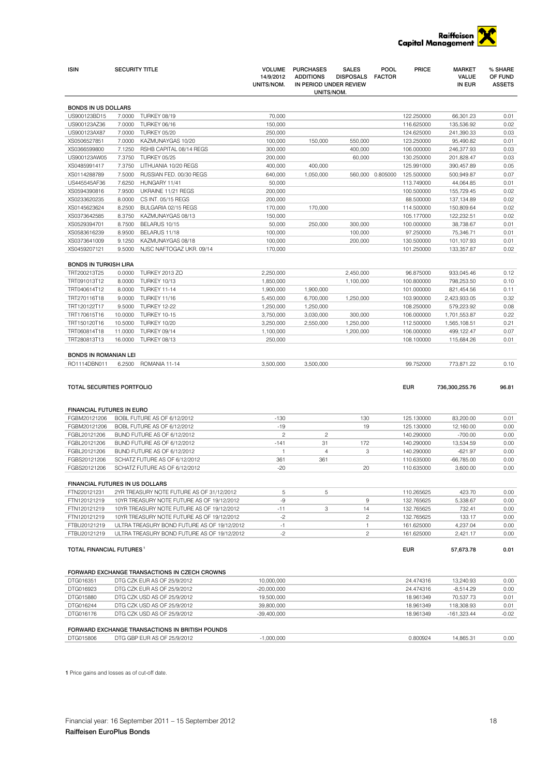

| <b>ISIN</b>                          | <b>SECURITY TITLE</b> |                                                            | <b>VOLUME</b><br>14/9/2012<br>UNITS/NOM. | <b>PURCHASES</b><br><b>ADDITIONS</b><br>IN PERIOD UNDER REVIEW<br>UNITS/NOM. | <b>SALES</b><br><b>DISPOSALS</b> | POOL<br><b>FACTOR</b> | <b>PRICE</b>             | <b>MARKET</b><br><b>VALUE</b><br>IN EUR | % SHARE<br>OF FUND<br><b>ASSETS</b> |
|--------------------------------------|-----------------------|------------------------------------------------------------|------------------------------------------|------------------------------------------------------------------------------|----------------------------------|-----------------------|--------------------------|-----------------------------------------|-------------------------------------|
| <b>BONDS IN US DOLLARS</b>           |                       |                                                            |                                          |                                                                              |                                  |                       |                          |                                         |                                     |
| US900123BD15                         |                       | 7.0000 TURKEY 08/19                                        | 70,000                                   |                                                                              |                                  |                       | 122.250000               | 66,301.23                               | 0.01                                |
| US900123AZ36                         | 7.0000                | TURKEY 06/16                                               | 150,000                                  |                                                                              |                                  |                       | 116.625000               | 135,536.92                              | 0.02                                |
| US900123AX87                         |                       | 7.0000 TURKEY 05/20                                        | 250,000                                  |                                                                              |                                  |                       | 124.625000               | 241,390.33                              | 0.03                                |
| XS0506527851                         | 7.0000                | KAZMUNAYGAS 10/20                                          | 100,000                                  | 150,000                                                                      | 550,000                          |                       | 123.250000               | 95,490.82                               | 0.01                                |
| XS0366599800                         | 7.1250                | RSHB CAPITAL 08/14 REGS                                    | 300,000                                  |                                                                              | 400,000                          |                       | 106.000000               | 246,377.93                              | 0.03                                |
| US900123AW05<br>XS0485991417         | 7.3750                | 7.3750 TURKEY 05/25<br>LITHUANIA 10/20 REGS                | 200,000<br>400,000                       | 400,000                                                                      | 60,000                           |                       | 130.250000<br>125.991000 | 201,828.47<br>390,457.89                | 0.03<br>0.05                        |
| XS0114288789                         | 7.5000                | RUSSIAN FED. 00/30 REGS                                    | 640,000                                  | 1,050,000                                                                    |                                  | 560,000 0.805000      | 125.500000               | 500,949.87                              | 0.07                                |
| US445545AF36                         | 7.6250                | HUNGARY 11/41                                              | 50,000                                   |                                                                              |                                  |                       | 113.749000               | 44,064.85                               | 0.01                                |
| XS0594390816                         | 7.9500                | UKRAINE 11/21 REGS                                         | 200,000                                  |                                                                              |                                  |                       | 100.500000               | 155,729.45                              | 0.02                                |
| XS0233620235                         | 8.0000                | CS INT. 05/15 REGS                                         | 200,000                                  |                                                                              |                                  |                       | 88.500000                | 137,134.89                              | 0.02                                |
| XS0145623624                         | 8.2500                | BULGARIA 02/15 REGS                                        | 170,000                                  | 170,000                                                                      |                                  |                       | 114.500000               | 150,809.64                              | 0.02                                |
| XS0373642585                         | 8.3750<br>8.7500      | KAZMUNAYGAS 08/13<br>BELARUS 10/15                         | 150,000                                  |                                                                              |                                  |                       | 105.177000               | 122,232.51                              | 0.02<br>0.01                        |
| XS0529394701<br>XS0583616239         | 8.9500                | BELARUS 11/18                                              | 50,000<br>100,000                        | 250,000                                                                      | 300,000<br>100,000               |                       | 100.000000<br>97.250000  | 38,738.67<br>75,346.71                  | 0.01                                |
| XS0373641009                         | 9.1250                | KAZMUNAYGAS 08/18                                          | 100,000                                  |                                                                              | 200,000                          |                       | 130.500000               | 101,107.93                              | 0.01                                |
| XS0459207121                         | 9.5000                | NJSC NAFTOGAZ UKR. 09/14                                   | 170,000                                  |                                                                              |                                  |                       | 101.250000               | 133,357.87                              | 0.02                                |
| <b>BONDS IN TURKISH LIRA</b>         |                       |                                                            |                                          |                                                                              |                                  |                       |                          |                                         |                                     |
| TRT200213T25                         | 0.0000                | <b>TURKEY 2013 ZO</b>                                      | 2,250,000                                |                                                                              | 2,450,000                        |                       | 96.875000                | 933,045.46                              | 0.12                                |
| TRT091013T12                         | 8.0000                | <b>TURKEY 10/13</b>                                        | 1,850,000                                |                                                                              | 1,100,000                        |                       | 100.800000               | 798,253.50                              | 0.10                                |
| TRT040614T12                         | 8.0000                | <b>TURKEY 11-14</b>                                        | 1,900,000                                | 1,900,000                                                                    |                                  |                       | 101.000000               | 821,454.56                              | 0.11                                |
| TRT270116T18                         | 9.0000                | <b>TURKEY 11/16</b>                                        | 5,450,000                                | 6,700,000                                                                    | 1,250,000                        |                       | 103.900000               | 2,423,933.05                            | 0.32                                |
| TRT120122T17                         | 9.5000                | <b>TURKEY 12-22</b>                                        | 1,250,000                                | 1,250,000                                                                    |                                  |                       | 108.250000               | 579,223.92                              | 0.08                                |
| TRT170615T16                         | 10.0000               | <b>TURKEY 10-15</b>                                        | 3,750,000                                | 3,030,000                                                                    | 300,000                          |                       | 106.000000               | 1,701,553.87                            | 0.22                                |
| TRT150120T16                         | 10.5000               | <b>TURKEY 10/20</b>                                        | 3,250,000                                | 2,550,000                                                                    | 1,250,000                        |                       | 112.500000               | 1,565,108.51                            | 0.21                                |
| TRT060814T18                         | 11.0000               | <b>TURKEY 09/14</b>                                        | 1,100,000                                |                                                                              | 1,200,000                        |                       | 106.000000               | 499,122.47                              | 0.07                                |
| TRT280813T13                         | 16.0000               | <b>TURKEY 08/13</b>                                        | 250,000                                  |                                                                              |                                  |                       | 108.100000               | 115,684.26                              | 0.01                                |
| <b>BONDS IN ROMANIAN LEI</b>         |                       |                                                            |                                          |                                                                              |                                  |                       |                          |                                         |                                     |
| RO1114DBN011                         | 6.2500                | ROMANIA 11-14                                              | 3,500,000                                | 3,500,000                                                                    |                                  |                       | 99.752000                | 773,871.22                              | 0.10                                |
| TOTAL SECURITIES PORTFOLIO           |                       |                                                            |                                          |                                                                              |                                  |                       | <b>EUR</b>               | 736,300,255.76                          | 96.81                               |
| FINANCIAL FUTURES IN EURO            |                       |                                                            |                                          |                                                                              |                                  |                       |                          |                                         |                                     |
| FGBM20121206                         |                       | BOBL FUTURE AS OF 6/12/2012                                | $-130$                                   |                                                                              | 130                              |                       | 125.130000               | 83,200.00                               | 0.01                                |
| FGBM20121206                         |                       | BOBL FUTURE AS OF 6/12/2012                                | $-19$                                    |                                                                              | 19                               |                       | 125.130000               | 12,160.00                               | 0.00                                |
| FGBL20121206<br>FGBL20121206         |                       | BUND FUTURE AS OF 6/12/2012<br>BUND FUTURE AS OF 6/12/2012 | $\overline{\mathbf{c}}$<br>$-141$        | 2<br>31                                                                      | 172                              |                       | 140.290000<br>140.290000 | $-700.00$<br>13,534.59                  | 0.00<br>0.00                        |
| FGBL20121206                         |                       | BUND FUTURE AS OF 6/12/2012                                | 1                                        | 4                                                                            | 3                                |                       | 140.290000               | $-621.97$                               | 0.00                                |
| FGBS20121206                         |                       | SCHATZ FUTURE AS OF 6/12/2012                              | 361                                      | 361                                                                          |                                  |                       | 110.635000               | $-66,785.00$                            | 0.00                                |
| FGBS20121206                         |                       | SCHATZ FUTURE AS OF 6/12/2012                              | $-20$                                    |                                                                              | 20                               |                       | 110.635000               | 3,600.00                                | 0.00                                |
| FINANCIAL FUTURES IN US DOLLARS      |                       |                                                            |                                          |                                                                              |                                  |                       |                          |                                         |                                     |
| FTN220121231                         |                       | 2YR TREASURY NOTE FUTURE AS OF 31/12/2012                  | 5                                        | 5                                                                            |                                  |                       | 110.265625               | 423.70                                  | 0.00                                |
| FTN120121219                         |                       | 10YR TREASURY NOTE FUTURE AS OF 19/12/2012                 | -9                                       |                                                                              | 9                                |                       | 132.765625               | 5,338.67                                | 0.00                                |
| FTN120121219                         |                       | 10YR TREASURY NOTE FUTURE AS OF 19/12/2012                 | $-11$                                    | 3                                                                            | 14                               |                       | 132.765625               | 732.41                                  | 0.00                                |
| FTN120121219                         |                       | 10YR TREASURY NOTE FUTURE AS OF 19/12/2012                 | $-2$                                     |                                                                              | $\overline{c}$                   |                       | 132.765625               | 133.17                                  | 0.00                                |
| FTBU20121219                         |                       | ULTRA TREASURY BOND FUTURE AS OF 19/12/2012                | $-1$                                     |                                                                              | 1                                |                       | 161.625000               | 4,237.04                                | 0.00                                |
| FTBU20121219                         |                       | ULTRA TREASURY BOND FUTURE AS OF 19/12/2012                | $-2$                                     |                                                                              | $\overline{c}$                   |                       | 161.625000               | 2,421.17                                | 0.00                                |
| TOTAL FINANCIAL FUTURES <sup>1</sup> |                       |                                                            |                                          |                                                                              |                                  |                       | <b>EUR</b>               | 57,673.78                               | 0.01                                |
|                                      |                       | FORWARD EXCHANGE TRANSACTIONS IN CZECH CROWNS              |                                          |                                                                              |                                  |                       |                          |                                         |                                     |
| DTG016351                            |                       | DTG CZK EUR AS OF 25/9/2012                                | 10,000,000                               |                                                                              |                                  |                       | 24.474316                | 13,240.93                               | 0.00                                |
| DTG016923                            |                       | DTG CZK EUR AS OF 25/9/2012                                | $-20,000,000$                            |                                                                              |                                  |                       | 24.474316                | $-8,514.29$                             | 0.00                                |
| DTG015880                            |                       | DTG CZK USD AS OF 25/9/2012                                | 19,500,000                               |                                                                              |                                  |                       | 18.961349                | 70,537.73                               | 0.01                                |
| DTG016244                            |                       | DTG CZK USD AS OF 25/9/2012                                | 39,800,000                               |                                                                              |                                  |                       | 18.961349                | 118,308.93                              | 0.01                                |
| DTG016176                            |                       | DTG CZK USD AS OF 25/9/2012                                | $-39,400,000$                            |                                                                              |                                  |                       | 18.961349                | $-161,323.44$                           | $-0.02$                             |
|                                      |                       | FORWARD EXCHANGE TRANSACTIONS IN BRITISH POUNDS            |                                          |                                                                              |                                  |                       |                          |                                         |                                     |
| DTG015806                            |                       | DTG GBP EUR AS OF 25/9/2012                                | $-1,000,000$                             |                                                                              |                                  |                       | 0.800924                 | 14,865.31                               | 0.00                                |

1 Price gains and losses as of cut-off date.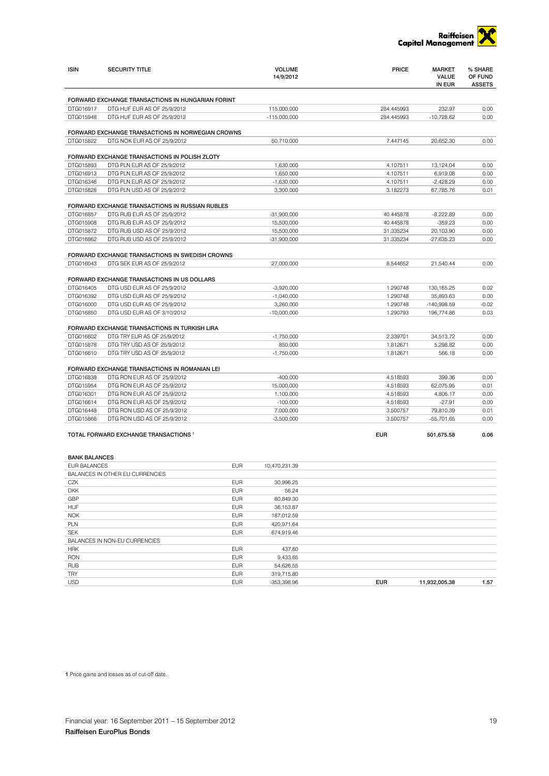

| <b>ISIN</b>          | <b>SECURITY TITLE</b>                             |            | <b>VOLUME</b><br>14/9/2012 | <b>PRICE</b> | <b>MARKET</b><br><b>VALUE</b><br>IN EUR | % SHARE<br>OF FUND<br><b>ASSETS</b> |
|----------------------|---------------------------------------------------|------------|----------------------------|--------------|-----------------------------------------|-------------------------------------|
|                      | FORWARD EXCHANGE TRANSACTIONS IN HUNGARIAN FORINT |            |                            |              |                                         |                                     |
| DTG016917            | DTG HUF EUR AS OF 25/9/2012                       |            | 115,000,000                | 284.445993   | 232.97                                  | 0.00                                |
| DTG015948            | DTG HUF EUR AS OF 25/9/2012                       |            | $-115,000,000$             | 284.445993   | $-10.728.62$                            | 0.00                                |
|                      |                                                   |            |                            |              |                                         |                                     |
|                      | FORWARD EXCHANGE TRANSACTIONS IN NORWEGIAN CROWNS |            |                            |              |                                         |                                     |
| DTG015822            | DTG NOK EUR AS OF 25/9/2012                       |            | 50,710,000                 | 7.447145     | 20,652.30                               | 0.00                                |
|                      | FORWARD EXCHANGE TRANSACTIONS IN POLISH ZLOTY     |            |                            |              |                                         |                                     |
| DTG015893            | DTG PLN EUR AS OF 25/9/2012                       |            | 1,630,000                  | 4.107511     | 13,124.04                               | 0.00                                |
| DTG016913            | DTG PLN EUR AS OF 25/9/2012                       |            | 1,650,000                  | 4.107511     | 6,919.08                                | 0.00                                |
| DTG016346            | DTG PLN EUR AS OF 25/9/2012                       |            | $-1,630,000$               | 4.107511     | $-2,428.29$                             | 0.00                                |
| DTG015828            | DTG PLN USD AS OF 25/9/2012                       |            | 3,300,000                  | 3.182273     | 67.785.76                               | 0.01                                |
|                      | FORWARD EXCHANGE TRANSACTIONS IN RUSSIAN RUBLES   |            |                            |              |                                         |                                     |
| DTG016857            | DTG RUB EUR AS OF 25/9/2012                       |            | $-31,900,000$              | 40.445878    | $-8,222.89$                             | 0.00                                |
| DTG015908            | DTG RUB EUR AS OF 25/9/2012                       |            | 15,500,000                 | 40.445878    | $-359.23$                               | 0.00                                |
| DTG015872            | DTG RUB USD AS OF 25/9/2012                       |            | 15,500,000                 | 31.335234    | 20,103.90                               | 0.00                                |
| DTG016862            | DTG RUB USD AS OF 25/9/2012                       |            | $-31,900,000$              | 31.335234    | $-27,635.23$                            | 0.00                                |
|                      | FORWARD EXCHANGE TRANSACTIONS IN SWEDISH CROWNS   |            |                            |              |                                         |                                     |
| DTG016043            | DTG SEK EUR AS OF 25/9/2012                       |            | 27,000,000                 | 8.544652     | 21,540.44                               | 0.00                                |
|                      | FORWARD EXCHANGE TRANSACTIONS IN US DOLLARS       |            |                            |              |                                         |                                     |
| DTG016405            | DTG USD EUR AS OF 25/9/2012                       |            | $-3,920,000$               | 1.290748     | 130,165.25                              | 0.02                                |
| DTG016392            | DTG USD EUR AS OF 25/9/2012                       |            | $-1,040,000$               | 1.290748     | 35,893.63                               | 0.00                                |
| DTG016000            | DTG USD EUR AS OF 25/9/2012                       |            | 3,260,000                  | 1.290748     | $-140,998.59$                           | $-0.02$                             |
| DTG016850            | DTG USD EUR AS OF 3/10/2012                       |            | $-10,000,000$              | 1.290793     | 196,774.86                              | 0.03                                |
|                      |                                                   |            |                            |              |                                         |                                     |
|                      | FORWARD EXCHANGE TRANSACTIONS IN TURKISH LIRA     |            |                            |              |                                         |                                     |
| DTG016602            | DTG TRY EUR AS OF 25/9/2012                       |            | $-1,750,000$               | 2.339701     | 34,513.72                               | 0.00                                |
| DTG015878            | DTG TRY USD AS OF 25/9/2012                       |            | 850,000                    | 1.812671     | 5,298.82                                | 0.00                                |
| DTG016610            | DTG TRY USD AS OF 25/9/2012                       |            | $-1,750,000$               | 1.812671     | 566.18                                  | 0.00                                |
|                      | FORWARD EXCHANGE TRANSACTIONS IN ROMANIAN LEI     |            |                            |              |                                         |                                     |
| DTG016838            | DTG RON EUR AS OF 25/9/2012                       |            | $-400,000$                 | 4.518593     | 399.36                                  | 0.00                                |
| DTG015954            | DTG RON EUR AS OF 25/9/2012                       |            | 15,000,000                 | 4.518593     | 62,075.95                               | 0.01                                |
| DTG016301            | DTG RON EUR AS OF 25/9/2012                       |            | 1,100,000                  | 4.518593     | 4,806.17                                | 0.00                                |
| DTG016614            | DTG RON EUR AS OF 25/9/2012                       |            | $-100,000$                 | 4.518593     | $-27.91$                                | 0.00                                |
| DTG016448            | DTG RON USD AS OF 25/9/2012                       |            | 7,000,000                  | 3.500757     | 79,810.39                               | 0.01                                |
| DTG015866            | DTG RON USD AS OF 25/9/2012                       |            | $-3,500,000$               | 3.500757     | $-55,701.65$                            | 0.00                                |
|                      | TOTAL FORWARD EXCHANGE TRANSACTIONS <sup>1</sup>  |            |                            | <b>EUR</b>   | 501,675.58                              | 0.06                                |
| <b>BANK BALANCES</b> |                                                   |            |                            |              |                                         |                                     |
| EUR BALANCES         |                                                   | <b>EUR</b> | 10,470,231.39              |              |                                         |                                     |
|                      | BALANCES IN OTHER EU CURRENCIES                   |            |                            |              |                                         |                                     |
| CZK                  |                                                   | <b>EUR</b> | 30,996.25                  |              |                                         |                                     |
| <b>DKK</b>           |                                                   | <b>EUR</b> | 56.24                      |              |                                         |                                     |
| GBP                  |                                                   | <b>EUR</b> | 80,849.30                  |              |                                         |                                     |
| <b>HUF</b>           |                                                   | <b>EUR</b> | 36,153.87                  |              |                                         |                                     |
| <b>NOK</b>           |                                                   | <b>EUR</b> | 187,012.59                 |              |                                         |                                     |
| PLN                  |                                                   | <b>EUR</b> | 420,971.64                 |              |                                         |                                     |
| <b>SEK</b>           |                                                   | <b>EUR</b> | 674,919.46                 |              |                                         |                                     |
|                      | BALANCES IN NON-EU CURRENCIES                     |            |                            |              |                                         |                                     |
| <b>HRK</b>           |                                                   | <b>EUR</b> | 437.60                     |              |                                         |                                     |
| <b>RON</b>           |                                                   | <b>EUR</b> | 9,433.65                   |              |                                         |                                     |
| <b>RUB</b>           |                                                   | <b>EUR</b> | 54,626.55                  |              |                                         |                                     |
| <b>TRY</b>           |                                                   | <b>EUR</b> | 319,715.80                 |              |                                         |                                     |

USD EUR -353,398.96 EUR 11,932,005.38 1.57

1 Price gains and losses as of cut-off date.

TRY EUR 319,715.80<br>USD EUR -353,398.96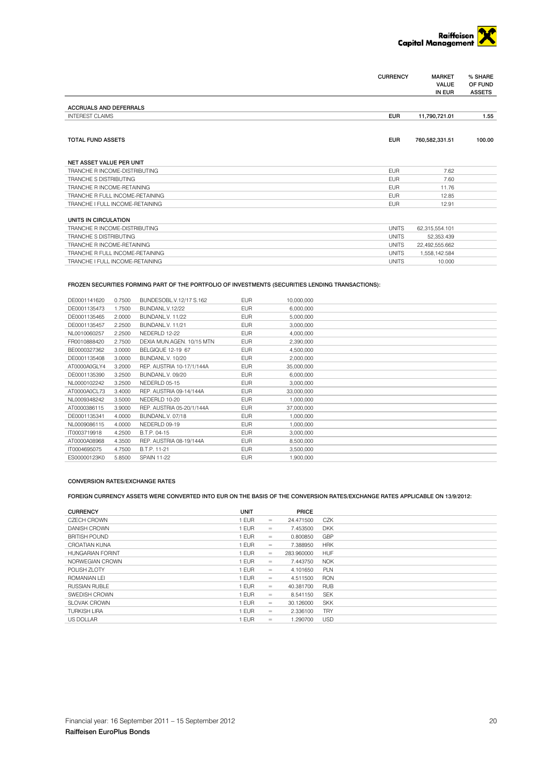

| <b>VALUE</b><br>OF FUND<br><b>ASSETS</b><br>IN EUR<br><b>ACCRUALS AND DEFERRALS</b><br><b>INTEREST CLAIMS</b><br><b>EUR</b><br>11,790,721.01<br>1.55<br><b>EUR</b><br><b>TOTAL FUND ASSETS</b><br>760,582,331.51<br>100.00<br>NET ASSET VALUE PER UNIT<br><b>EUR</b><br>TRANCHE R INCOME-DISTRIBUTING<br>7.62<br><b>TRANCHE S DISTRIBUTING</b><br><b>EUR</b><br>7.60<br>TRANCHE R INCOME-RETAINING<br><b>EUR</b><br>11.76<br>TRANCHE R FULL INCOME-RETAINING<br><b>FUR</b><br>12.85<br>TRANCHE I FULL INCOME-RETAINING<br><b>EUR</b><br>12.91<br>UNITS IN CIRCULATION<br><b>UNITS</b><br>TRANCHE R INCOME-DISTRIBUTING<br>62.315.554.101<br><b>TRANCHE S DISTRIBUTING</b><br><b>UNITS</b><br>52.353.439<br>TRANCHE R INCOME-RETAINING<br><b>UNITS</b><br>22,492,555.662<br>TRANCHE R FULL INCOME-RETAINING<br><b>UNITS</b><br>1,558,142.584 |                                 | <b>CURRENCY</b> | <b>MARKET</b> | % SHARE |
|---------------------------------------------------------------------------------------------------------------------------------------------------------------------------------------------------------------------------------------------------------------------------------------------------------------------------------------------------------------------------------------------------------------------------------------------------------------------------------------------------------------------------------------------------------------------------------------------------------------------------------------------------------------------------------------------------------------------------------------------------------------------------------------------------------------------------------------------|---------------------------------|-----------------|---------------|---------|
|                                                                                                                                                                                                                                                                                                                                                                                                                                                                                                                                                                                                                                                                                                                                                                                                                                             |                                 |                 |               |         |
|                                                                                                                                                                                                                                                                                                                                                                                                                                                                                                                                                                                                                                                                                                                                                                                                                                             |                                 |                 |               |         |
|                                                                                                                                                                                                                                                                                                                                                                                                                                                                                                                                                                                                                                                                                                                                                                                                                                             |                                 |                 |               |         |
|                                                                                                                                                                                                                                                                                                                                                                                                                                                                                                                                                                                                                                                                                                                                                                                                                                             |                                 |                 |               |         |
|                                                                                                                                                                                                                                                                                                                                                                                                                                                                                                                                                                                                                                                                                                                                                                                                                                             |                                 |                 |               |         |
|                                                                                                                                                                                                                                                                                                                                                                                                                                                                                                                                                                                                                                                                                                                                                                                                                                             |                                 |                 |               |         |
|                                                                                                                                                                                                                                                                                                                                                                                                                                                                                                                                                                                                                                                                                                                                                                                                                                             |                                 |                 |               |         |
|                                                                                                                                                                                                                                                                                                                                                                                                                                                                                                                                                                                                                                                                                                                                                                                                                                             |                                 |                 |               |         |
|                                                                                                                                                                                                                                                                                                                                                                                                                                                                                                                                                                                                                                                                                                                                                                                                                                             |                                 |                 |               |         |
|                                                                                                                                                                                                                                                                                                                                                                                                                                                                                                                                                                                                                                                                                                                                                                                                                                             |                                 |                 |               |         |
|                                                                                                                                                                                                                                                                                                                                                                                                                                                                                                                                                                                                                                                                                                                                                                                                                                             |                                 |                 |               |         |
|                                                                                                                                                                                                                                                                                                                                                                                                                                                                                                                                                                                                                                                                                                                                                                                                                                             |                                 |                 |               |         |
|                                                                                                                                                                                                                                                                                                                                                                                                                                                                                                                                                                                                                                                                                                                                                                                                                                             |                                 |                 |               |         |
|                                                                                                                                                                                                                                                                                                                                                                                                                                                                                                                                                                                                                                                                                                                                                                                                                                             |                                 |                 |               |         |
|                                                                                                                                                                                                                                                                                                                                                                                                                                                                                                                                                                                                                                                                                                                                                                                                                                             |                                 |                 |               |         |
|                                                                                                                                                                                                                                                                                                                                                                                                                                                                                                                                                                                                                                                                                                                                                                                                                                             |                                 |                 |               |         |
|                                                                                                                                                                                                                                                                                                                                                                                                                                                                                                                                                                                                                                                                                                                                                                                                                                             |                                 |                 |               |         |
|                                                                                                                                                                                                                                                                                                                                                                                                                                                                                                                                                                                                                                                                                                                                                                                                                                             |                                 |                 |               |         |
|                                                                                                                                                                                                                                                                                                                                                                                                                                                                                                                                                                                                                                                                                                                                                                                                                                             | TRANCHE I FULL INCOME-RETAINING | <b>UNITS</b>    | 10,000        |         |

### FROZEN SECURITIES FORMING PART OF THE PORTFOLIO OF INVESTMENTS (SECURITIES LENDING TRANSACTIONS):

| DE0001141620 | 0.7500 | BUNDESOBL.V.12/17 S.162   | <b>EUR</b> | 10.000.000 |  |
|--------------|--------|---------------------------|------------|------------|--|
| DE0001135473 | 1.7500 | BUNDANL.V.12/22           | <b>EUR</b> | 6.000.000  |  |
| DE0001135465 | 2.0000 | BUNDANL.V. 11/22          | <b>EUR</b> | 5,000,000  |  |
| DE0001135457 | 2.2500 | <b>BUNDANL.V. 11/21</b>   | <b>EUR</b> | 3,000,000  |  |
| NL0010060257 | 2.2500 | NEDERLD 12-22             | <b>EUR</b> | 4,000,000  |  |
| FR0010888420 | 2.7500 | DEXIA MUN.AGEN. 10/15 MTN | <b>EUR</b> | 2,390,000  |  |
| BE0000327362 | 3.0000 | BELGIQUE 12-19 67         | <b>EUR</b> | 4,500,000  |  |
| DE0001135408 | 3.0000 | BUNDANL.V. 10/20          | <b>EUR</b> | 2,000,000  |  |
| AT0000A0GLY4 | 3.2000 | REP. AUSTRIA 10-17/1/144A | <b>EUR</b> | 35,000,000 |  |
| DE0001135390 | 3.2500 | BUNDANL.V. 09/20          | <b>EUR</b> | 6.000.000  |  |
| NL0000102242 | 3.2500 | NEDERLD 05-15             | <b>EUR</b> | 3,000,000  |  |
| AT0000A0CL73 | 3.4000 | REP. AUSTRIA 09-14/144A   | <b>EUR</b> | 33,000,000 |  |
| NL0009348242 | 3.5000 | NEDERLD 10-20             | <b>EUR</b> | 1,000,000  |  |
| AT0000386115 | 3.9000 | REP. AUSTRIA 05-20/1/144A | <b>EUR</b> | 37,000,000 |  |
| DE0001135341 | 4.0000 | BUNDANL.V. 07/18          | <b>EUR</b> | 1,000,000  |  |
| NL0009086115 | 4.0000 | NEDERLD 09-19             | <b>EUR</b> | 1,000,000  |  |
| IT0003719918 | 4.2500 | B.T.P. 04-15              | <b>EUR</b> | 3,000,000  |  |
| AT0000A08968 | 4.3500 | REP. AUSTRIA 08-19/144A   | <b>EUR</b> | 8,500,000  |  |
| IT0004695075 | 4.7500 | B.T.P. 11-21              | <b>EUR</b> | 3,500,000  |  |
| ES00000123K0 | 5.8500 | <b>SPAIN 11-22</b>        | <b>EUR</b> | 1,900,000  |  |

#### CONVERSION RATES/EXCHANGE RATES

## FOREIGN CURRENCY ASSETS WERE CONVERTED INTO EUR ON THE BASIS OF THE CONVERSION RATES/EXCHANGE RATES APPLICABLE ON 13/9/2012:

| <b>CURRENCY</b>         | <b>UNIT</b> |     | PRICE      |            |
|-------------------------|-------------|-----|------------|------------|
| <b>CZECH CROWN</b>      | <b>EUR</b>  | $=$ | 24.471500  | <b>CZK</b> |
| DANISH CROWN            | <b>EUR</b>  | $=$ | 7.453500   | <b>DKK</b> |
| <b>BRITISH POUND</b>    | <b>EUR</b>  | $=$ | 0.800850   | GBP        |
| CROATIAN KUNA           | <b>EUR</b>  | $=$ | 7.388950   | <b>HRK</b> |
| <b>HUNGARIAN FORINT</b> | <b>EUR</b>  | $=$ | 283.960000 | <b>HUF</b> |
| NORWEGIAN CROWN         | <b>EUR</b>  | $=$ | 7.443750   | <b>NOK</b> |
| POLISH 7LOTY            | <b>EUR</b>  | $=$ | 4.101650   | PLN        |
| ROMANIAN I FI           | <b>EUR</b>  | $=$ | 4.511500   | <b>RON</b> |
| <b>RUSSIAN RUBLE</b>    | <b>EUR</b>  | $=$ | 40.381700  | <b>RUB</b> |
| SWEDISH CROWN           | <b>EUR</b>  | $=$ | 8.541150   | <b>SEK</b> |
| SI OVAK CROWN           | <b>EUR</b>  | $=$ | 30.126000  | <b>SKK</b> |
| <b>TURKISH LIRA</b>     | <b>EUR</b>  | $=$ | 2.336100   | <b>TRY</b> |
| <b>US DOLLAR</b>        | <b>EUR</b>  | $=$ | 1.290700   | <b>USD</b> |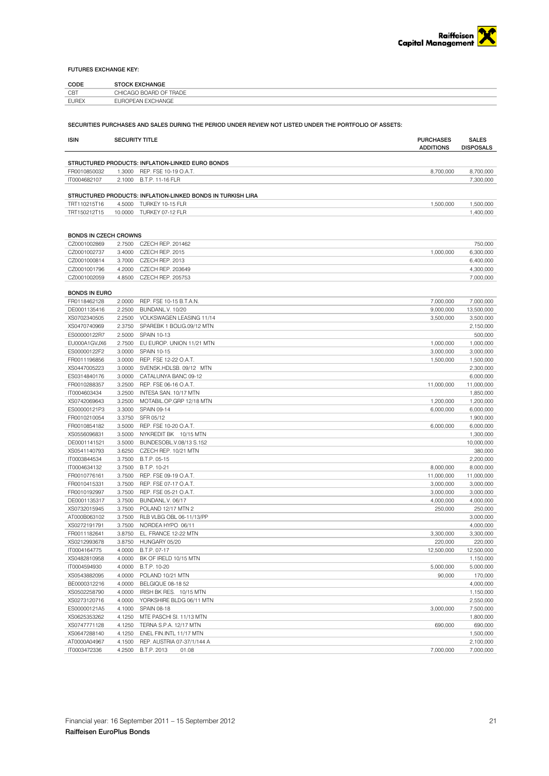### FUTURES EXCHANGE KEY:

| CODE<br>---- | <b>ГОСК FXCHANGF</b>                          |
|--------------|-----------------------------------------------|
| CBT          | CHICAGO BOARD<br><b>TRADF</b><br>$\mathbf{v}$ |
| <b>EUREX</b> | EUROPEAN EXCHANGE                             |

SECURITIES PURCHASES AND SALES DURING THE PERIOD UNDER REVIEW NOT LISTED UNDER THE PORTFOLIO OF ASSETS:

| <b>ISIN</b>                  | <b>SECURITY TITLE</b> |                                                             | <b>PURCHASES</b><br><b>ADDITIONS</b> | <b>SALES</b><br><b>DISPOSALS</b> |
|------------------------------|-----------------------|-------------------------------------------------------------|--------------------------------------|----------------------------------|
|                              |                       |                                                             |                                      |                                  |
|                              |                       | STRUCTURED PRODUCTS: INFLATION-LINKED EURO BONDS            |                                      |                                  |
| FR0010850032                 | 1.3000                | REP. FSE 10-19 O.A.T.                                       | 8,700,000                            | 8,700,000                        |
| IT0004682107                 | 2.1000                | B.T.P. 11-16 FLR                                            |                                      | 7,300,000                        |
|                              |                       | STRUCTURED PRODUCTS: INFLATION-LINKED BONDS IN TURKISH LIRA |                                      |                                  |
| TRT110215T16                 | 4.5000                | TURKEY 10-15 FLR                                            | 1,500,000                            | 1,500,000                        |
| TRT150212T15                 | 10.0000               | TURKEY 07-12 FLR                                            |                                      | 1,400,000                        |
|                              |                       |                                                             |                                      |                                  |
| <b>BONDS IN CZECH CROWNS</b> |                       |                                                             |                                      |                                  |
| CZ0001002869                 | 2.7500                | CZECH REP. 201462                                           |                                      | 750,000                          |
| CZ0001002737                 | 3.4000                | CZECH REP. 2015                                             | 1,000,000                            | 6,300,000                        |
| CZ0001000814                 | 3.7000                | CZECH REP. 2013                                             |                                      | 6,400,000                        |
| CZ0001001796                 | 4.2000                | CZECH REP. 203649                                           |                                      | 4,300,000                        |
| CZ0001002059                 | 4.8500                | <b>CZECH REP. 205753</b>                                    |                                      | 7,000,000                        |
| <b>BONDS IN EURO</b>         |                       |                                                             |                                      |                                  |
| FR0118462128                 | 2.0000                | REP. FSE 10-15 B.T.A.N.                                     | 7,000,000                            | 7,000,000                        |
| DE0001135416                 | 2.2500                | BUNDANL.V. 10/20                                            | 9,000,000                            | 13,500,000                       |
| XS0702340505                 | 2.2500                | VOLKSWAGEN LEASING 11/14                                    | 3,500,000                            | 3,500,000                        |
| XS0470740969                 | 2.3750                | SPAREBK 1 BOLIG.09/12 MTN                                   |                                      | 2,150,000                        |
| ES00000122R7                 | 2.5000                | <b>SPAIN 10-13</b>                                          |                                      | 500,000                          |
| EU000A1GVJX6                 | 2.7500                | EU EUROP. UNION 11/21 MTN                                   | 1,000,000                            | 1,000,000                        |
| ES00000122F2                 | 3.0000                | <b>SPAIN 10-15</b>                                          | 3.000.000                            | 3,000,000                        |
| FR0011196856                 | 3.0000                | REP. FSE 12-22 O.A.T.                                       | 1,500,000                            | 1,500,000                        |
| XS0447005223                 | 3.0000                | SVENSK.HDLSB. 09/12 MTN                                     |                                      | 2,300,000                        |
| ES0314840176                 | 3.0000                | CATALUNYA BANC 09-12                                        |                                      | 6,000,000                        |
| FR0010288357                 | 3.2500                | REP. FSE 06-16 O.A.T.                                       | 11,000,000                           | 11,000,000                       |
| IT0004603434                 | 3.2500                | INTESA SAN. 10/17 MTN                                       |                                      | 1,850,000                        |
| XS0742069643                 | 3.2500                | MOTABIL.OP.GRP 12/18 MTN                                    | 1,200,000                            | 1,200,000                        |
| ES00000121P3                 | 3.3000                | SPAIN 09-14                                                 | 6,000,000                            | 6,000,000                        |
| FR0010210054                 | 3.3750                | SFR 05/12                                                   |                                      | 1,900,000                        |
| FR0010854182                 | 3.5000                | REP. FSE 10-20 O.A.T.                                       | 6,000,000                            | 6,000,000                        |
| XS0556096831                 | 3.5000                | NYKREDIT BK 10/15 MTN                                       |                                      | 1,300,000                        |
| DE0001141521                 | 3.5000                | BUNDESOBL.V.08/13 S.152                                     |                                      | 10,000,000                       |
| XS0541140793                 | 3.6250                | CZECH REP. 10/21 MTN                                        |                                      | 380,000                          |
| IT0003844534                 | 3.7500                | B.T.P. 05-15                                                |                                      | 2,200,000                        |
| IT0004634132                 | 3.7500                | B.T.P. 10-21                                                | 8,000,000                            | 8,000,000                        |
| FR0010776161                 | 3.7500                | REP. FSE 09-19 O.A.T.                                       | 11,000,000                           | 11,000,000                       |
| FR0010415331                 | 3.7500                | REP. FSE 07-17 O.A.T.                                       | 3,000,000                            | 3,000,000                        |
| FR0010192997                 | 3.7500                | REP. FSE 05-21 O.A.T.                                       | 3,000,000                            | 3,000,000                        |
| DE0001135317                 | 3.7500                | BUNDANL.V. 06/17                                            | 4,000,000                            | 4,000,000                        |
| XS0732015945                 | 3.7500                | POLAND 12/17 MTN 2                                          | 250,000                              | 250,000                          |
| AT000B063102                 | 3.7500                | RLB VLBG OBL 06-11/13/PP                                    |                                      | 3,000,000                        |
| XS0272191791                 | 3.7500                | NORDEA HYPO 06/11                                           |                                      | 4,000,000                        |
| FR0011182641                 | 3.8750                | EL. FRANCE 12-22 MTN                                        | 3,300,000                            | 3,300,000                        |
| XS0212993678                 | 3.8750                | HUNGARY 05/20                                               | 220,000                              | 220,000                          |
| IT0004164775                 | 4.0000                | B.T.P. 07-17                                                | 12,500,000                           | 12,500,000                       |
| XS0482810958                 | 4.0000                | BK OF IRELD 10/15 MTN                                       |                                      | 1,150,000                        |
| IT0004594930                 | 4.0000                | B.T.P. 10-20                                                | 5,000,000                            | 5,000,000                        |
| XS0543882095                 | 4.0000                | POLAND 10/21 MTN                                            | 90,000                               | 170,000                          |
| BE0000312216                 | 4.0000                | BELGIQUE 08-18 52                                           |                                      | 4,000,000                        |
| XS0502258790                 | 4.0000                | IRISH BK RES. 10/15 MTN                                     |                                      | 1,150,000                        |
| XS0273120716                 | 4.0000                | YORKSHIRE BLDG 06/11 MTN                                    |                                      | 2,550,000                        |
| ES00000121A5                 | 4.1000                | SPAIN 08-18                                                 | 3,000,000                            | 7,500,000                        |
| XS0625353262                 | 4.1250                | MTE PASCHI SI. 11/13 MTN                                    |                                      | 1,800,000                        |
| XS0747771128                 | 4.1250                | TERNA S.P.A. 12/17 MTN                                      | 690,000                              | 690,000                          |
| XS0647288140                 | 4.1250                | ENEL FIN.INTL 11/17 MTN                                     |                                      | 1,500,000                        |
| AT0000A04967                 | 4.1500                | REP. AUSTRIA 07-37/1/144 A                                  |                                      | 2,100,000                        |
| IT0003472336                 | 4.2500                | B.T.P. 2013<br>01.08                                        | 7,000,000                            | 7,000,000                        |
|                              |                       |                                                             |                                      |                                  |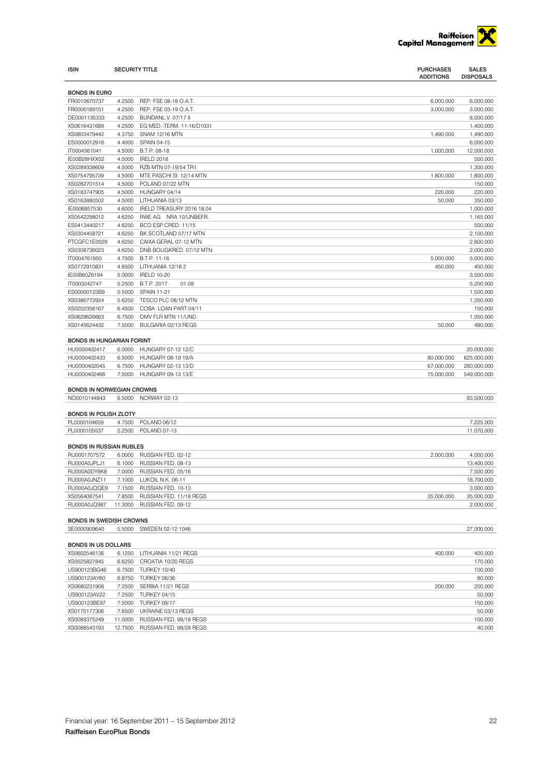

| <b>ISIN</b>                                                                              | <b>SECURITY TITLE</b> |                                    | <b>PURCHASES</b><br><b>ADDITIONS</b> | <b>SALES</b><br><b>DISPOSALS</b> |
|------------------------------------------------------------------------------------------|-----------------------|------------------------------------|--------------------------------------|----------------------------------|
| <b>BONDS IN EURO</b>                                                                     |                       |                                    |                                      |                                  |
| FR0010670737                                                                             | 4.2500                | REP. FSE 08-18 O.A.T.              | 6,000,000                            | 6,000,000                        |
| FR0000189151                                                                             | 4.2500                | REP. FSE 03-19 O.A.T.              | 3,000,000                            | 3,000,000                        |
| DE0001135333                                                                             | 4.2500                | BUNDANL.V. 07/17 II                |                                      | 8,500,000                        |
| XS0616431689                                                                             | 4.2500                | EG MED.-TERM. 11-16/D1031          |                                      | 1,400,000                        |
| XS0803479442                                                                             | 4.3750                | SNAM 12/16 MTN                     | 1,490,000                            | 1,490,000                        |
| ES0000012916                                                                             | 4.4000                | <b>SPAIN 04-15</b>                 |                                      | 6,000,000                        |
| IT0004361041                                                                             | 4.5000                | B.T.P. 08-18                       | 1,000,000                            | 12,000,000                       |
| IE00B28HXX02                                                                             | 4.5000                | <b>IRELD 2018</b>                  |                                      | 500,000                          |
| XS0289338609                                                                             | 4.5000                | RZB MTN 07-19/54 TR1               |                                      | 1,300,000                        |
| XS0754795739                                                                             | 4.5000                | MTE PASCHI SI. 12/14 MTN           | 1,800,000                            | 1,800,000                        |
| XS0282701514                                                                             | 4.5000                | POLAND 07/22 MTN                   |                                      | 150,000                          |
| XS0183747905                                                                             | 4.5000                | HUNGARY 04/14                      | 220,000                              | 220,000                          |
| XS0163880502                                                                             | 4.5000                | LITHUANIA 03/13                    | 50,000                               | 350,000                          |
| IE0006857530                                                                             | 4.6000                | IRELD TREASURY 2016 18.04          |                                      | 1,000,000                        |
| XS0542298012                                                                             | 4.6250                | RWE AG NRA 10/UNBEFR.              |                                      | 1,165,000                        |
| ES0413440217                                                                             | 4.6250                | BCO ESP.CRED. 11/15                |                                      | 500,000                          |
| XS0304458721                                                                             | 4.6250                | BK SCOTLAND 07/17 MTN              |                                      | 2,100,000                        |
| PTCGFC1E0029                                                                             | 4.6250                | CAIXA GERAL 07-12 MTN              |                                      | 2,800,000                        |
| XS0308736023                                                                             | 4.6250                | DNB BOLIGKRED. 07/12 MTN           |                                      | 2,000,000                        |
| IT0004761950                                                                             | 4.7500                | B.T.P. 11-16                       | 5,000,000                            | 5,000,000                        |
| XS0772910831                                                                             | 4.8500                | LITHUANIA 12/18 2                  | 450,000                              | 450,000                          |
| IE00B60Z6194                                                                             | 5.0000                | <b>IRELD 10-20</b>                 |                                      | 3,500,000                        |
| IT0003242747                                                                             | 5.2500                | B.T.P. 2017<br>01.08               |                                      | 5,200,000                        |
| ES00000123B9<br>XS0386772924                                                             | 5.5000<br>5.6250      | SPAIN 11-21<br>TESCO PLC 08/12 MTN |                                      | 1,500,000<br>1,350,000           |
| XS0202356167                                                                             | 6.4500                | COBA LOAN PART.04/11               |                                      | 150,000                          |
| XS0629626663                                                                             | 6.7500                | OMV FLR MTN 11/UND                 |                                      | 1,050,000                        |
| XS0145624432                                                                             | 7.5000                | BULGARIA 02/13 REGS                | 50,000                               | 480.000                          |
| <b>BONDS IN HUNGARIAN FORINT</b><br>HU0000402417                                         |                       | 6.0000 HUNGARY 07-12 12/C          |                                      | 20,000,000                       |
| HU0000402433                                                                             |                       | 6.5000 HUNGARY 08-19 19/A          | 80,000,000                           | 625,000,000                      |
| HU0000402045                                                                             | 6.7500                | HUNGARY 02-13 13/D                 | 67,000,000                           | 260,000,000                      |
| HU0000402466                                                                             |                       | 7.5000 HUNGARY 09-13 13/E          | 75,000,000                           | 549,000,000                      |
| <b>BONDS IN NORWEGIAN CROWNS</b>                                                         |                       |                                    |                                      |                                  |
| NO0010144843                                                                             |                       | 6.5000 NORWAY 02-13                |                                      | 93,500,000                       |
| <b>BONDS IN POLISH ZLOTY</b>                                                             |                       |                                    |                                      |                                  |
| PL0000104659                                                                             | 4.7500                | POLAND 06/12                       |                                      | 7,225,000                        |
| PL0000105037                                                                             | 5.2500                | POLAND 07-13                       |                                      | 11,070,000                       |
| <b>BONDS IN RUSSIAN RUBLES</b>                                                           |                       |                                    |                                      |                                  |
| RU0001707572                                                                             | 6.0000                | RUSSIAN FED. 02-12                 | 2,000,000                            | 4,000,000                        |
| RU000A0JPLJ1                                                                             |                       | 6.1000 RUSSIAN FED, 08-13          |                                      | 13,400,000                       |
| RU000A0DY8K8                                                                             |                       | 7.0000 RUSSIAN FED. 05/16          |                                      | 7,500,000                        |
| RU000A0JNZ11                                                                             |                       | 7.1000 LUKOIL N.K. 06-11           |                                      | 18,700,000                       |
| RU000A0JQQE9                                                                             |                       | 7.1500 RUSSIAN FED. 10-13          |                                      | 3,000,000                        |
| XS0564087541                                                                             |                       | 7.8500 RUSSIAN FED. 11/18 REGS     | 35,000,000                           | 35,000,000                       |
| RU000A0JQ987                                                                             |                       | 11.3000 RUSSIAN FED. 09-12         |                                      | 2,000,000                        |
| <b>BONDS IN SWEDISH CROWNS</b><br>SE0000909640<br>5.5000 SWEDEN 02-12 1046<br>27,000,000 |                       |                                    |                                      |                                  |
|                                                                                          |                       |                                    |                                      |                                  |
| <b>BONDS IN US DOLLARS</b>                                                               |                       |                                    |                                      |                                  |
| XS0602546136                                                                             |                       | 6.1250 LITHUANIA 11/21 REGS        | 400,000                              | 400,000                          |
| XS0525827845                                                                             |                       | 6.6250 CROATIA 10/20 REGS          |                                      | 170,000                          |
| US900123BG46                                                                             |                       | 6.7500 TURKEY 10/40                |                                      | 100,000                          |
| US900123AY60                                                                             |                       | 6.8750 TURKEY 06/36                |                                      | 80,000                           |
| XS0680231908                                                                             |                       | 7.2500 SERBIA 11/21 REGS           | 200,000                              | 200,000                          |
| US900123AV22                                                                             |                       | 7.2500 TURKEY 04/15                |                                      | 50,000                           |
| US900123BE97                                                                             |                       | 7.5000 TURKEY 09/17                |                                      | 150,000                          |
| XS0170177306                                                                             |                       | 7.6500 UKRAINE 03/13 REGS          |                                      | 50,000                           |
| XS0089375249                                                                             |                       | 11.0000 RUSSIAN FED. 98/18 REGS    |                                      | 100,000                          |
| XS0088543193                                                                             |                       | 12.7500 RUSSIAN FED. 98/28 REGS    |                                      | 40,000                           |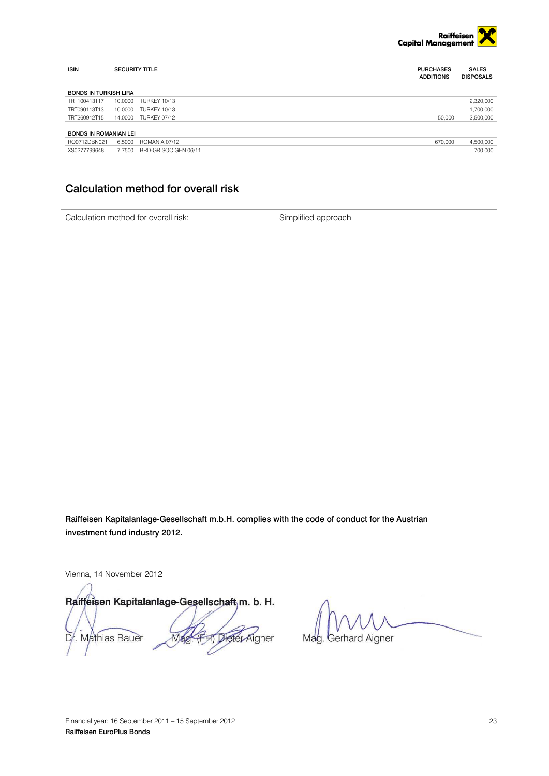

| <b>ISIN</b>                  | <b>SECURITY TITLE</b> |                      | <b>PURCHASES</b><br><b>ADDITIONS</b> | <b>SALES</b><br><b>DISPOSALS</b> |
|------------------------------|-----------------------|----------------------|--------------------------------------|----------------------------------|
| <b>BONDS IN TURKISH LIRA</b> |                       |                      |                                      |                                  |
| TRT100413T17                 | 10.0000               | <b>TURKEY 10/13</b>  |                                      | 2,320,000                        |
| TRT090113T13                 | 10.0000               | <b>TURKEY 10/13</b>  |                                      | 1,700,000                        |
| TRT260912T15                 |                       | 14.0000 TURKEY 07/12 | 50,000                               | 2,500,000                        |
|                              |                       |                      |                                      |                                  |
| <b>BONDS IN ROMANIAN LEI</b> |                       |                      |                                      |                                  |
| RO0712DBN021                 | 6.5000                | ROMANIA 07/12        | 670.000                              | 4.500.000                        |
| XS0277799648                 | 7.7500                | BRD-GR.SOC.GEN.06/11 |                                      | 700.000                          |

## <span id="page-22-0"></span>Calculation method for overall risk

Calculation method for overall risk: Simplified approach

Raiffeisen Kapitalanlage-Gesellschaft m.b.H. complies with the code of conduct for the Austrian investment fund industry 2012.

Vienna, 14 November 2012

Raiffeisen Kapitalanlage-Gesellschaft, m. b. H. FHT Dieter Aigner Dr. Mathias Bauer Mag

Mag. Gerhard Aigner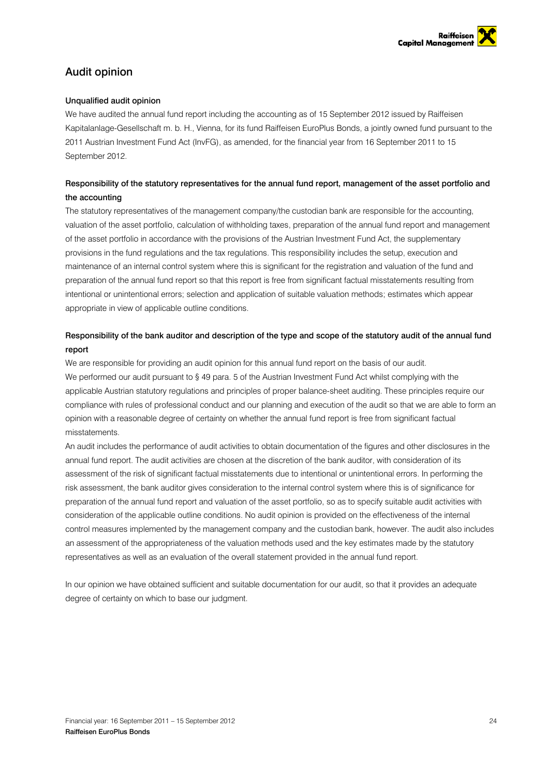

## <span id="page-23-0"></span>Audit opinion

## Unqualified audit opinion

We have audited the annual fund report including the accounting as of 15 September 2012 issued by Raiffeisen Kapitalanlage-Gesellschaft m. b. H., Vienna, for its fund Raiffeisen EuroPlus Bonds, a jointly owned fund pursuant to the 2011 Austrian Investment Fund Act (InvFG), as amended, for the financial year from 16 September 2011 to 15 September 2012.

## Responsibility of the statutory representatives for the annual fund report, management of the asset portfolio and the accounting

The statutory representatives of the management company/the custodian bank are responsible for the accounting, valuation of the asset portfolio, calculation of withholding taxes, preparation of the annual fund report and management of the asset portfolio in accordance with the provisions of the Austrian Investment Fund Act, the supplementary provisions in the fund regulations and the tax regulations. This responsibility includes the setup, execution and maintenance of an internal control system where this is significant for the registration and valuation of the fund and preparation of the annual fund report so that this report is free from significant factual misstatements resulting from intentional or unintentional errors; selection and application of suitable valuation methods; estimates which appear appropriate in view of applicable outline conditions.

## Responsibility of the bank auditor and description of the type and scope of the statutory audit of the annual fund report

We are responsible for providing an audit opinion for this annual fund report on the basis of our audit. We performed our audit pursuant to § 49 para. 5 of the Austrian Investment Fund Act whilst complying with the applicable Austrian statutory regulations and principles of proper balance-sheet auditing. These principles require our compliance with rules of professional conduct and our planning and execution of the audit so that we are able to form an opinion with a reasonable degree of certainty on whether the annual fund report is free from significant factual misstatements.

An audit includes the performance of audit activities to obtain documentation of the figures and other disclosures in the annual fund report. The audit activities are chosen at the discretion of the bank auditor, with consideration of its assessment of the risk of significant factual misstatements due to intentional or unintentional errors. In performing the risk assessment, the bank auditor gives consideration to the internal control system where this is of significance for preparation of the annual fund report and valuation of the asset portfolio, so as to specify suitable audit activities with consideration of the applicable outline conditions. No audit opinion is provided on the effectiveness of the internal control measures implemented by the management company and the custodian bank, however. The audit also includes an assessment of the appropriateness of the valuation methods used and the key estimates made by the statutory representatives as well as an evaluation of the overall statement provided in the annual fund report.

In our opinion we have obtained sufficient and suitable documentation for our audit, so that it provides an adequate degree of certainty on which to base our judgment.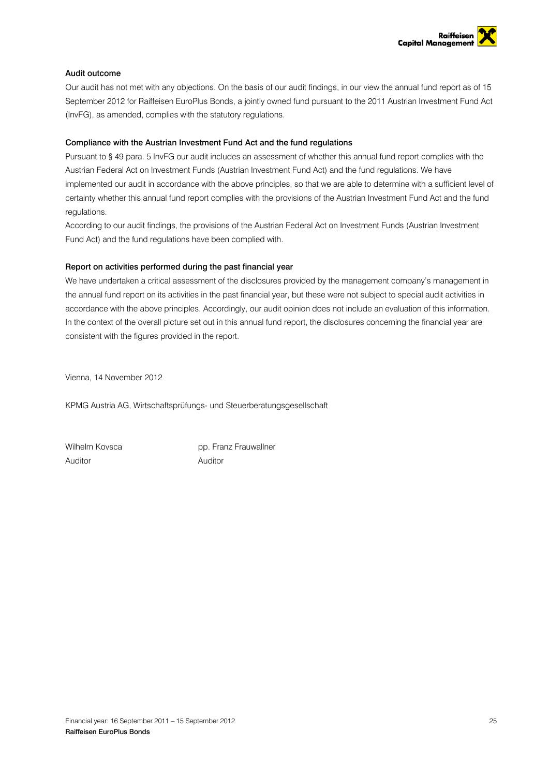

## Audit outcome

Our audit has not met with any objections. On the basis of our audit findings, in our view the annual fund report as of 15 September 2012 for Raiffeisen EuroPlus Bonds, a jointly owned fund pursuant to the 2011 Austrian Investment Fund Act (InvFG), as amended, complies with the statutory regulations.

## Compliance with the Austrian Investment Fund Act and the fund regulations

Pursuant to § 49 para. 5 InvFG our audit includes an assessment of whether this annual fund report complies with the Austrian Federal Act on Investment Funds (Austrian Investment Fund Act) and the fund regulations. We have implemented our audit in accordance with the above principles, so that we are able to determine with a sufficient level of certainty whether this annual fund report complies with the provisions of the Austrian Investment Fund Act and the fund regulations.

According to our audit findings, the provisions of the Austrian Federal Act on Investment Funds (Austrian Investment Fund Act) and the fund regulations have been complied with.

## Report on activities performed during the past financial year

We have undertaken a critical assessment of the disclosures provided by the management company's management in the annual fund report on its activities in the past financial year, but these were not subject to special audit activities in accordance with the above principles. Accordingly, our audit opinion does not include an evaluation of this information. In the context of the overall picture set out in this annual fund report, the disclosures concerning the financial year are consistent with the figures provided in the report.

Vienna, 14 November 2012

KPMG Austria AG, Wirtschaftsprüfungs- und Steuerberatungsgesellschaft

Auditor Auditor

Wilhelm Kovsca **pp. Franz Frauwallner**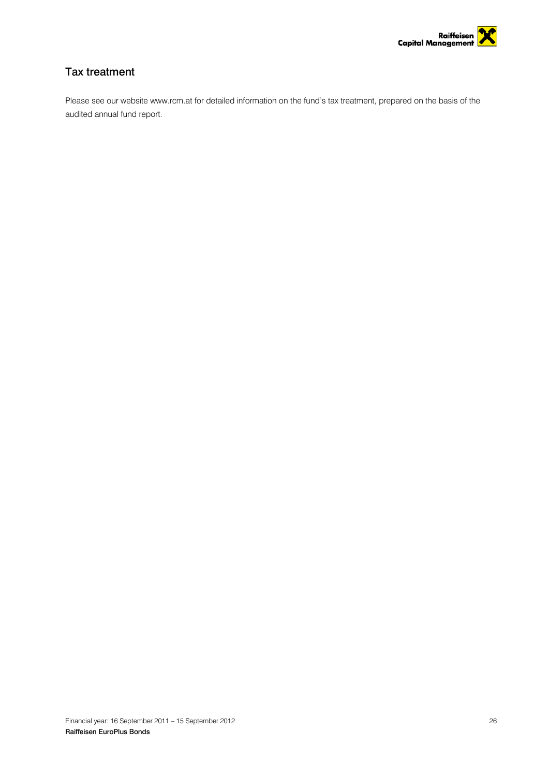

## <span id="page-25-0"></span>Tax treatment

Please see our website www.rcm.at for detailed information on the fund's tax treatment, prepared on the basis of the audited annual fund report.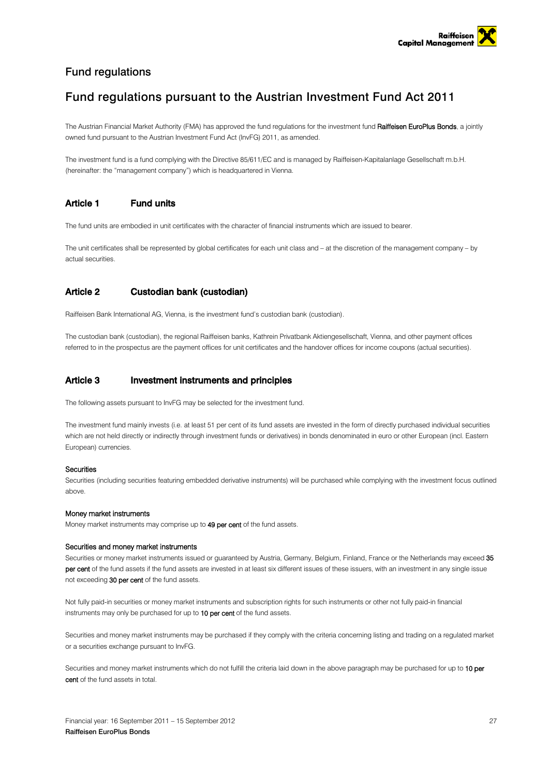

## <span id="page-26-0"></span>Fund regulations

## Fund regulations pursuant to the Austrian Investment Fund Act 2011

The Austrian Financial Market Authority (FMA) has approved the fund regulations for the investment fund Raiffeisen EuroPlus Bonds, a jointly owned fund pursuant to the Austrian Investment Fund Act (InvFG) 2011, as amended.

The investment fund is a fund complying with the Directive 85/611/EC and is managed by Raiffeisen-Kapitalanlage Gesellschaft m.b.H. (hereinafter: the "management company") which is headquartered in Vienna.

## Article 1 Fund units

The fund units are embodied in unit certificates with the character of financial instruments which are issued to bearer.

The unit certificates shall be represented by global certificates for each unit class and – at the discretion of the management company – by actual securities.

## Article 2 Custodian bank (custodian)

Raiffeisen Bank International AG, Vienna, is the investment fund's custodian bank (custodian).

The custodian bank (custodian), the regional Raiffeisen banks, Kathrein Privatbank Aktiengesellschaft, Vienna, and other payment offices referred to in the prospectus are the payment offices for unit certificates and the handover offices for income coupons (actual securities).

## Article 3 Investment instruments and principles

The following assets pursuant to InvFG may be selected for the investment fund.

The investment fund mainly invests (i.e. at least 51 per cent of its fund assets are invested in the form of directly purchased individual securities which are not held directly or indirectly through investment funds or derivatives) in bonds denominated in euro or other European (incl. Eastern European) currencies.

## **Securities**

Securities (including securities featuring embedded derivative instruments) will be purchased while complying with the investment focus outlined above.

### Money market instruments

Money market instruments may comprise up to 49 per cent of the fund assets.

### Securities and money market instruments

Securities or money market instruments issued or guaranteed by Austria, Germany, Belgium, Finland, France or the Netherlands may exceed 35 per cent of the fund assets if the fund assets are invested in at least six different issues of these issuers, with an investment in any single issue not exceeding 30 per cent of the fund assets.

Not fully paid-in securities or money market instruments and subscription rights for such instruments or other not fully paid-in financial instruments may only be purchased for up to 10 per cent of the fund assets.

Securities and money market instruments may be purchased if they comply with the criteria concerning listing and trading on a regulated market or a securities exchange pursuant to InvFG.

Securities and money market instruments which do not fulfill the criteria laid down in the above paragraph may be purchased for up to 10 per cent of the fund assets in total.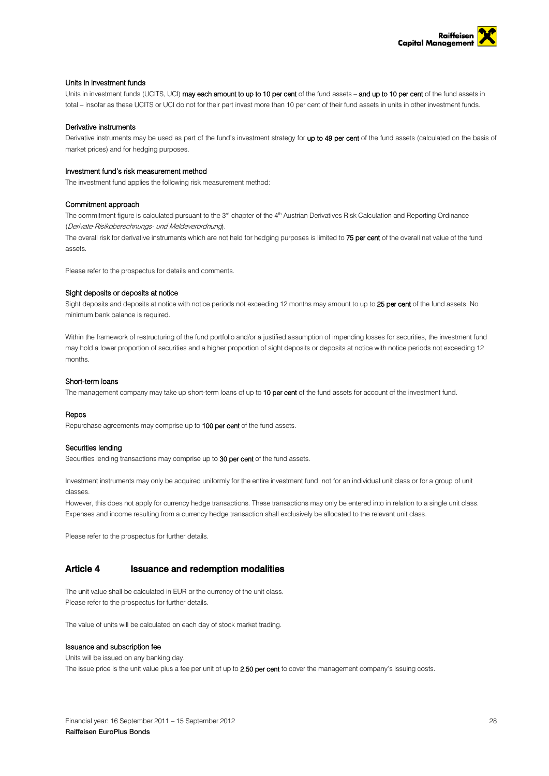

### Units in investment funds

Units in investment funds (UCITS, UCI) may each amount to up to 10 per cent of the fund assets - and up to 10 per cent of the fund assets in total – insofar as these UCITS or UCI do not for their part invest more than 10 per cent of their fund assets in units in other investment funds.

#### Derivative instruments

Derivative instruments may be used as part of the fund's investment strategy for up to 49 per cent of the fund assets (calculated on the basis of market prices) and for hedging purposes.

#### Investment fund's risk measurement method

The investment fund applies the following risk measurement method:

#### Commitment approach

The commitment figure is calculated pursuant to the  $3<sup>rd</sup>$  chapter of the 4<sup>th</sup> Austrian Derivatives Risk Calculation and Reporting Ordinance (Derivate-Risikoberechnungs- und Meldeverordnung).

The overall risk for derivative instruments which are not held for hedging purposes is limited to 75 per cent of the overall net value of the fund assets.

Please refer to the prospectus for details and comments.

### Sight deposits or deposits at notice

Sight deposits and deposits at notice with notice periods not exceeding 12 months may amount to up to 25 per cent of the fund assets. No minimum bank balance is required.

Within the framework of restructuring of the fund portfolio and/or a justified assumption of impending losses for securities, the investment fund may hold a lower proportion of securities and a higher proportion of sight deposits or deposits at notice with notice periods not exceeding 12 months.

### Short-term loans

The management company may take up short-term loans of up to 10 per cent of the fund assets for account of the investment fund.

#### Repos

Repurchase agreements may comprise up to 100 per cent of the fund assets.

### Securities lending

Securities lending transactions may comprise up to 30 per cent of the fund assets.

Investment instruments may only be acquired uniformly for the entire investment fund, not for an individual unit class or for a group of unit classes.

However, this does not apply for currency hedge transactions. These transactions may only be entered into in relation to a single unit class. Expenses and income resulting from a currency hedge transaction shall exclusively be allocated to the relevant unit class.

Please refer to the prospectus for further details.

## Article 4 Issuance and redemption modalities

The unit value shall be calculated in EUR or the currency of the unit class. Please refer to the prospectus for further details.

The value of units will be calculated on each day of stock market trading.

#### Issuance and subscription fee

Units will be issued on any banking day.

The issue price is the unit value plus a fee per unit of up to 2.50 per cent to cover the management company's issuing costs.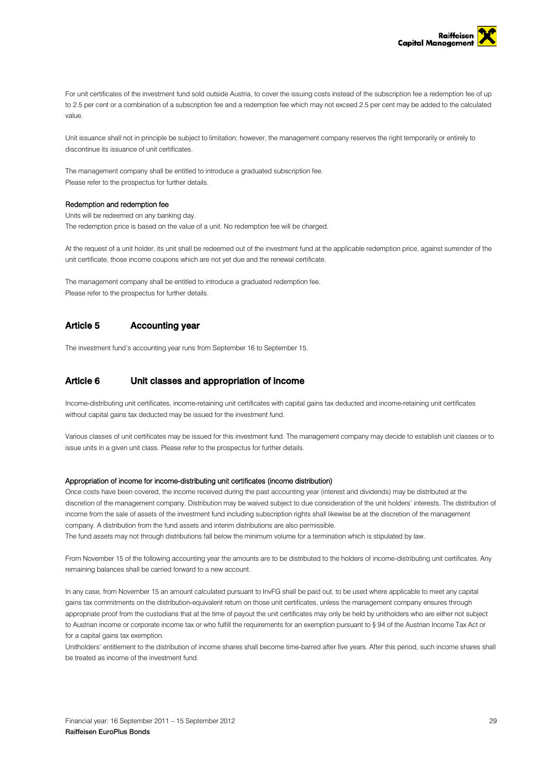

For unit certificates of the investment fund sold outside Austria, to cover the issuing costs instead of the subscription fee a redemption fee of up to 2.5 per cent or a combination of a subscription fee and a redemption fee which may not exceed 2.5 per cent may be added to the calculated value.

Unit issuance shall not in principle be subject to limitation; however, the management company reserves the right temporarily or entirely to discontinue its issuance of unit certificates.

The management company shall be entitled to introduce a graduated subscription fee. Please refer to the prospectus for further details.

### Redemption and redemption fee

Units will be redeemed on any banking day.

The redemption price is based on the value of a unit. No redemption fee will be charged.

At the request of a unit holder, its unit shall be redeemed out of the investment fund at the applicable redemption price, against surrender of the unit certificate, those income coupons which are not yet due and the renewal certificate.

The management company shall be entitled to introduce a graduated redemption fee. Please refer to the prospectus for further details.

## Article 5 Accounting year

The investment fund's accounting year runs from September 16 to September 15.

## Article 6 Unit classes and appropriation of income

Income-distributing unit certificates, income-retaining unit certificates with capital gains tax deducted and income-retaining unit certificates without capital gains tax deducted may be issued for the investment fund.

Various classes of unit certificates may be issued for this investment fund. The management company may decide to establish unit classes or to issue units in a given unit class. Please refer to the prospectus for further details.

#### Appropriation of income for income-distributing unit certificates (income distribution)

Once costs have been covered, the income received during the past accounting year (interest and dividends) may be distributed at the discretion of the management company. Distribution may be waived subject to due consideration of the unit holders' interests. The distribution of income from the sale of assets of the investment fund including subscription rights shall likewise be at the discretion of the management company. A distribution from the fund assets and interim distributions are also permissible.

The fund assets may not through distributions fall below the minimum volume for a termination which is stipulated by law.

From November 15 of the following accounting year the amounts are to be distributed to the holders of income-distributing unit certificates. Any remaining balances shall be carried forward to a new account.

In any case, from November 15 an amount calculated pursuant to InvFG shall be paid out, to be used where applicable to meet any capital gains tax commitments on the distribution-equivalent return on those unit certificates, unless the management company ensures through appropriate proof from the custodians that at the time of payout the unit certificates may only be held by unitholders who are either not subject to Austrian income or corporate income tax or who fulfill the requirements for an exemption pursuant to § 94 of the Austrian Income Tax Act or for a capital gains tax exemption.

Unitholders' entitlement to the distribution of income shares shall become time-barred after five years. After this period, such income shares shall be treated as income of the investment fund.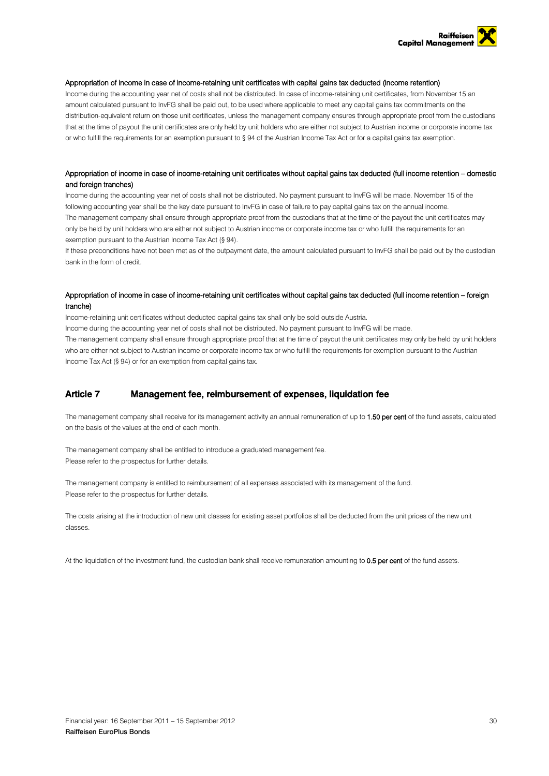

### Appropriation of income in case of income-retaining unit certificates with capital gains tax deducted (income retention)

Income during the accounting year net of costs shall not be distributed. In case of income-retaining unit certificates, from November 15 an amount calculated pursuant to InvFG shall be paid out, to be used where applicable to meet any capital gains tax commitments on the distribution-equivalent return on those unit certificates, unless the management company ensures through appropriate proof from the custodians that at the time of payout the unit certificates are only held by unit holders who are either not subject to Austrian income or corporate income tax or who fulfill the requirements for an exemption pursuant to § 94 of the Austrian Income Tax Act or for a capital gains tax exemption.

## Appropriation of income in case of income-retaining unit certificates without capital gains tax deducted (full income retention – domestic and foreign tranches)

Income during the accounting year net of costs shall not be distributed. No payment pursuant to InvFG will be made. November 15 of the following accounting year shall be the key date pursuant to InvFG in case of failure to pay capital gains tax on the annual income. The management company shall ensure through appropriate proof from the custodians that at the time of the payout the unit certificates may only be held by unit holders who are either not subject to Austrian income or corporate income tax or who fulfill the requirements for an exemption pursuant to the Austrian Income Tax Act (§ 94).

If these preconditions have not been met as of the outpayment date, the amount calculated pursuant to InvFG shall be paid out by the custodian bank in the form of credit.

## Appropriation of income in case of income-retaining unit certificates without capital gains tax deducted (full income retention – foreign tranche)

Income-retaining unit certificates without deducted capital gains tax shall only be sold outside Austria. Income during the accounting year net of costs shall not be distributed. No payment pursuant to InvFG will be made. The management company shall ensure through appropriate proof that at the time of payout the unit certificates may only be held by unit holders who are either not subject to Austrian income or corporate income tax or who fulfill the requirements for exemption pursuant to the Austrian Income Tax Act (§ 94) or for an exemption from capital gains tax.

## Article 7 Management fee, reimbursement of expenses, liquidation fee

The management company shall receive for its management activity an annual remuneration of up to 1.50 per cent of the fund assets, calculated on the basis of the values at the end of each month.

The management company shall be entitled to introduce a graduated management fee. Please refer to the prospectus for further details.

The management company is entitled to reimbursement of all expenses associated with its management of the fund. Please refer to the prospectus for further details.

The costs arising at the introduction of new unit classes for existing asset portfolios shall be deducted from the unit prices of the new unit classes.

At the liquidation of the investment fund, the custodian bank shall receive remuneration amounting to 0.5 per cent of the fund assets.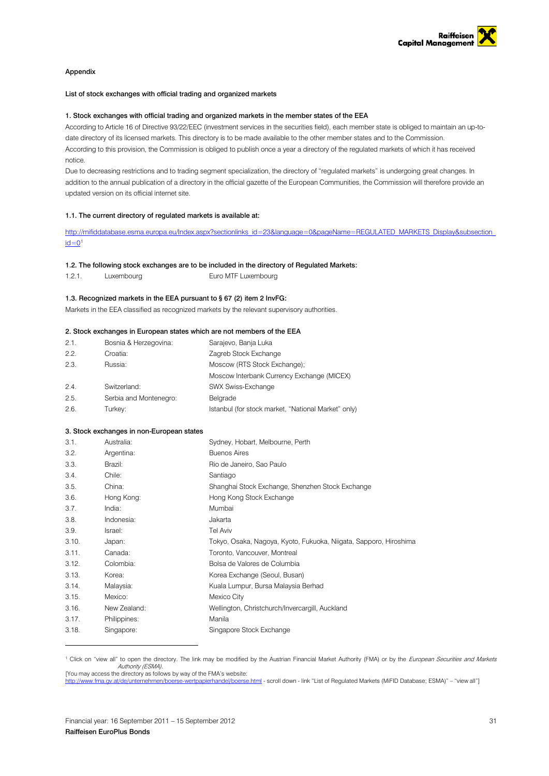

### Appendix

### List of stock exchanges with official trading and organized markets

#### 1. Stock exchanges with official trading and organized markets in the member states of the EEA

According to Article 16 of Directive 93/22/EEC (investment services in the securities field), each member state is obliged to maintain an up-todate directory of its licensed markets. This directory is to be made available to the other member states and to the Commission. According to this provision, the Commission is obliged to publish once a year a directory of the regulated markets of which it has received notice.

Due to decreasing restrictions and to trading segment specialization, the directory of "regulated markets" is undergoing great changes. In addition to the annual publication of a directory in the official gazette of the European Communities, the Commission will therefore provide an updated version on its official internet site.

#### 1.1. The current directory of regulated markets is available at:

http://mifiddatabase.esma.europa.eu/Index.aspx?sectionlinks\_id=23&language=0&pageName=REGULATED\_MARKETS\_Display&subsection  $id=0<sup>1</sup>$  $id=0<sup>1</sup>$  $id=0<sup>1</sup>$  $id=0<sup>1</sup>$ 

### 1.2. The following stock exchanges are to be included in the directory of Regulated Markets:

1.2.1. Luxembourg Euro MTF Luxembourg

### 1.3. Recognized markets in the EEA pursuant to § 67 (2) item 2 InvFG:

Markets in the EEA classified as recognized markets by the relevant supervisory authorities.

#### 2. Stock exchanges in European states which are not members of the EEA

| 2.1. | Bosnia & Herzegovina:  | Sarajevo, Banja Luka                                |
|------|------------------------|-----------------------------------------------------|
| 2.2. | Croatia:               | Zagreb Stock Exchange                               |
| 2.3. | Russia:                | Moscow (RTS Stock Exchange);                        |
|      |                        | Moscow Interbank Currency Exchange (MICEX)          |
| 2.4. | Switzerland:           | SWX Swiss-Exchange                                  |
| 2.5. | Serbia and Montenegro: | Belarade                                            |
| 2.6. | Turkey:                | Istanbul (for stock market, "National Market" only) |

#### 3. Stock exchanges in non-European states

| 3.1.  | Australia:   | Sydney, Hobart, Melbourne, Perth                                  |
|-------|--------------|-------------------------------------------------------------------|
| 3.2.  | Argentina:   | <b>Buenos Aires</b>                                               |
| 3.3.  | Brazil:      | Rio de Janeiro, Sao Paulo                                         |
| 3.4.  | Chile:       | Santiago                                                          |
| 3.5.  | China:       | Shanghai Stock Exchange, Shenzhen Stock Exchange                  |
| 3.6.  | Hong Kong:   | Hong Kong Stock Exchange                                          |
| 3.7.  | India:       | Mumbai                                                            |
| 3.8.  | Indonesia:   | Jakarta                                                           |
| 3.9.  | Israel:      | Tel Aviv                                                          |
| 3.10. | Japan:       | Tokyo, Osaka, Nagoya, Kyoto, Fukuoka, Niigata, Sapporo, Hiroshima |
| 3.11. | Canada:      | Toronto, Vancouver, Montreal                                      |
| 3.12. | Colombia:    | Bolsa de Valores de Columbia                                      |
| 3.13. | Korea:       | Korea Exchange (Seoul, Busan)                                     |
| 3.14. | Malaysia:    | Kuala Lumpur, Bursa Malaysia Berhad                               |
| 3.15. | Mexico:      | Mexico City                                                       |
| 3.16. | New Zealand: | Wellington, Christchurch/Invercargill, Auckland                   |
| 3.17. | Philippines: | Manila                                                            |
| 3.18. | Singapore:   | Singapore Stock Exchange                                          |
|       |              |                                                                   |

<span id="page-30-0"></span><sup>1</sup> Click on "view all" to open the directory. The link may be modified by the Austrian Financial Market Authority (FMA) or by the European Securities and Markets Authority (ESMA). [You may access the directory as follows by way of the FMA's website:

<http://www.fma.gv.at/de/unternehmen/boerse-wertpapierhandel/boerse.html> - scroll down - link "List of Regulated Markets (MiFID Database; ESMA)" – "view all"]

-